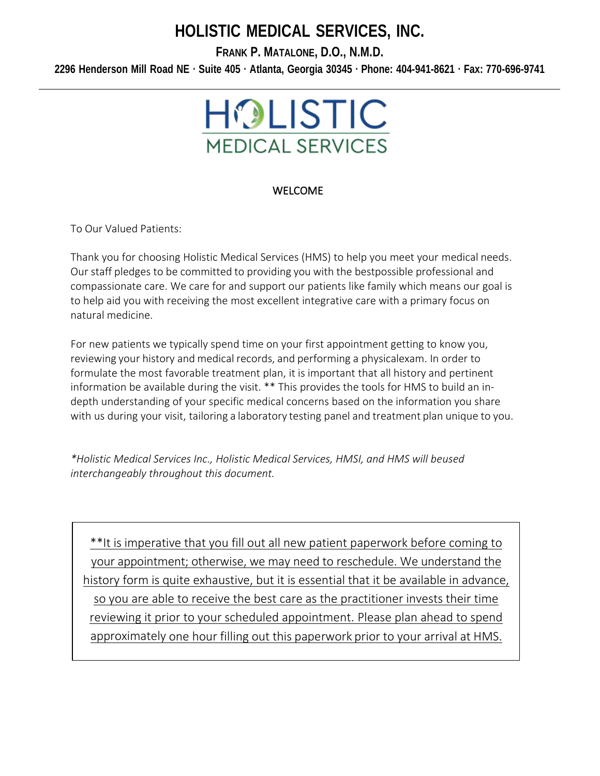# **HOLISTIC MEDICAL SERVICES, INC.**

**FRANK P. MATALONE, D.O., N.M.D.**

2296 Henderson Mill Road NE · Suite 405 · Atlanta, Georgia 30345 · Phone: 404-941-8621 · Fax: 770-696-9741



### WELCOME

To Our Valued Patients:

Thank you for choosing Holistic Medical Services (HMS) to help you meet your medical needs. Our staff pledges to be committed to providing you with the bestpossible professional and compassionate care. We care for and support our patients like family which means our goal is to help aid you with receiving the most excellent integrative care with a primary focus on natural medicine.

For new patients we typically spend time on your first appointment getting to know you, reviewing your history and medical records, and performing a physicalexam. In order to formulate the most favorable treatment plan, it is important that all history and pertinent information be available during the visit. \*\* This provides the tools for HMS to build an in‐ depth understanding of your specific medical concerns based on the information you share with us during your visit, tailoring a laboratory testing panel and treatment plan unique to you.

*\*Holistic Medical Services Inc., Holistic Medical Services, HMSI, and HMS will beused interchangeably throughout this document.*

\*\*It is imperative that you fill out all new patient paperwork before coming to your appointment; otherwise, we may need to reschedule. We understand the history form is quite exhaustive, but it is essential that it be available in advance, so you are able to receive the best care as the practitioner invests their time reviewing it prior to your scheduled appointment. Please plan ahead to spend approximately one hour filling out this paperwork prior to your arrival at HMS.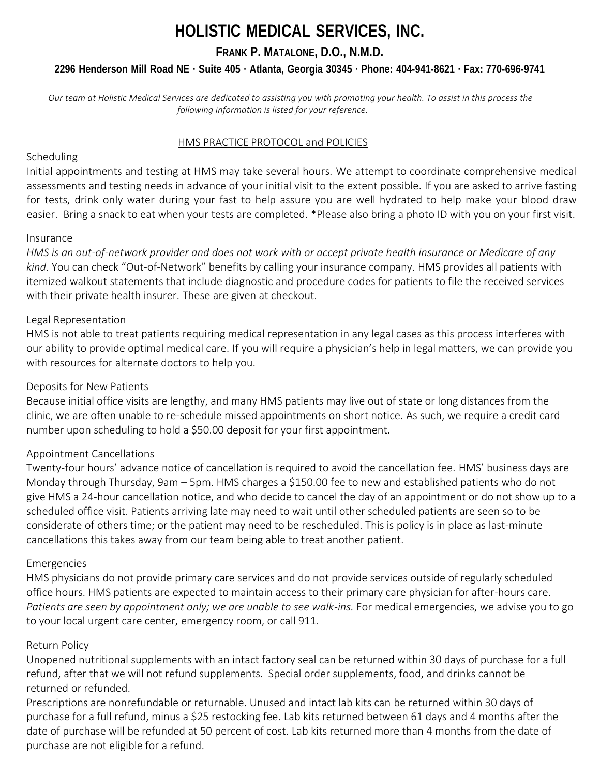# **HOLISTIC MEDICAL SERVICES, INC.**

**FRANK P. MATALONE, D.O., N.M.D.**

## 2296 Henderson Mill Road NE · Suite 405 · Atlanta, Georgia 30345 · Phone: 404-941-8621 · Fax: 770-696-9741

*Our team at Holistic Medical Services are dedicated to assisting you with promoting your health. To assist in this process the following information is listed for your reference.*

### HMS PRACTICE PROTOCOL and POLICIES

### Scheduling

Initial appointments and testing at HMS may take several hours. We attempt to coordinate comprehensive medical assessments and testing needs in advance of your initial visit to the extent possible. If you are asked to arrive fasting for tests, drink only water during your fast to help assure you are well hydrated to help make your blood draw easier. Bring a snack to eat when your tests are completed. \*Please also bring a photo ID with you on your first visit.

### Insurance

*HMS is an out-of-network provider and does not work with or accept private health insurance or Medicare of any kind.* You can check "Out-of-Network" benefits by calling your insurance company. HMS provides all patients with itemized walkout statements that include diagnostic and procedure codes for patients to file the received services with their private health insurer. These are given at checkout.

### Legal Representation

HMS is not able to treat patients requiring medical representation in any legal cases as this process interferes with our ability to provide optimal medical care. If you will require a physician's help in legal matters, we can provide you with resources for alternate doctors to help you.

### Deposits for New Patients

Because initial office visits are lengthy, and many HMS patients may live out of state or long distances from the clinic, we are often unable to re-schedule missed appointments on short notice. As such, we require a credit card number upon scheduling to hold a \$50.00 deposit for your first appointment.

### Appointment Cancellations

Twenty-four hours' advance notice of cancellation is required to avoid the cancellation fee. HMS' business days are Monday through Thursday, 9am – 5pm. HMS charges a \$150.00 fee to new and established patients who do not give HMS a 24-hour cancellation notice, and who decide to cancel the day of an appointment or do not show up to a scheduled office visit. Patients arriving late may need to wait until other scheduled patients are seen so to be considerate of others time; or the patient may need to be rescheduled. This is policy is in place as last-minute cancellations this takes away from our team being able to treat another patient.

### Emergencies

HMS physicians do not provide primary care services and do not provide services outside of regularly scheduled office hours. HMS patients are expected to maintain access to their primary care physician for after-hours care. *Patients are seen by appointment only; we are unable to see walk-ins.* For medical emergencies, we advise you to go to your local urgent care center, emergency room, or call 911.

### Return Policy

Unopened nutritional supplements with an intact factory seal can be returned within 30 days of purchase for a full refund, after that we will not refund supplements. Special order supplements, food, and drinks cannot be returned or refunded.

Prescriptions are nonrefundable or returnable. Unused and intact lab kits can be returned within 30 days of purchase for a full refund, minus a \$25 restocking fee. Lab kits returned between 61 days and 4 months after the date of purchase will be refunded at 50 percent of cost. Lab kits returned more than 4 months from the date of purchase are not eligible for a refund.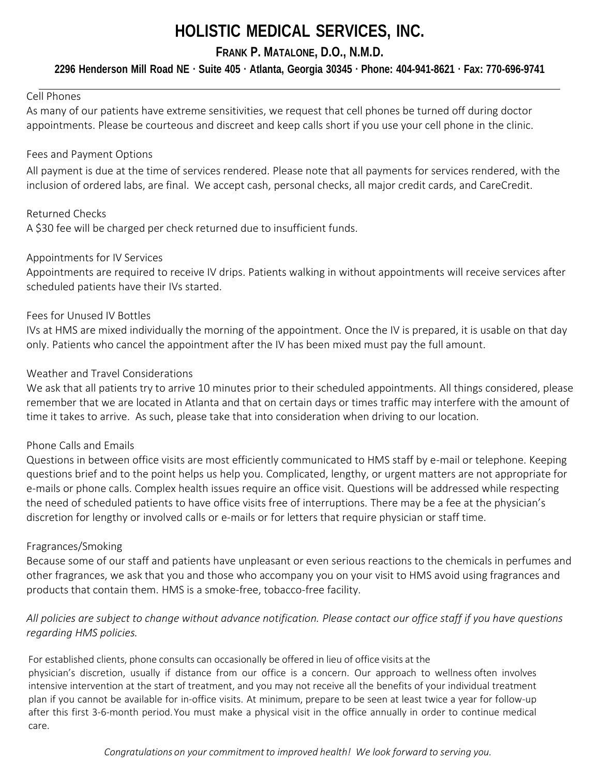# **HOLISTIC MEDICAL SERVICES, INC.**

# **FRANK P. MATALONE, D.O., N.M.D.**

# 2296 Henderson Mill Road NE · Suite 405 · Atlanta, Georgia 30345 · Phone: 404-941-8621 · Fax: 770-696-9741

### Cell Phones

As many of our patients have extreme sensitivities, we request that cell phones be turned off during doctor appointments. Please be courteous and discreet and keep calls short if you use your cell phone in the clinic.

### Fees and Payment Options

All payment is due at the time of services rendered. Please note that all payments for services rendered, with the inclusion of ordered labs, are final. We accept cash, personal checks, all major credit cards, and CareCredit.

### Returned Checks

A \$30 fee will be charged per check returned due to insufficient funds.

### Appointments for IV Services

Appointments are required to receive IV drips. Patients walking in without appointments will receive services after scheduled patients have their IVs started.

### Fees for Unused IV Bottles

IVs at HMS are mixed individually the morning of the appointment. Once the IV is prepared, it is usable on that day only. Patients who cancel the appointment after the IV has been mixed must pay the full amount.

### Weather and Travel Considerations

We ask that all patients try to arrive 10 minutes prior to their scheduled appointments. All things considered, please remember that we are located in Atlanta and that on certain days or times traffic may interfere with the amount of time it takes to arrive. As such, please take that into consideration when driving to our location.

### Phone Calls and Emails

Questions in between office visits are most efficiently communicated to HMS staff by e-mail or telephone. Keeping questions brief and to the point helps us help you. Complicated, lengthy, or urgent matters are not appropriate for e-mails or phone calls. Complex health issues require an office visit. Questions will be addressed while respecting the need of scheduled patients to have office visits free of interruptions. There may be a fee at the physician's discretion for lengthy or involved calls or e-mails or for letters that require physician or staff time.

### Fragrances/Smoking

Because some of our staff and patients have unpleasant or even serious reactions to the chemicals in perfumes and other fragrances, we ask that you and those who accompany you on your visit to HMS avoid using fragrances and products that contain them. HMS is a smoke-free, tobacco-free facility.

## *All policies are subject to change without advance notification. Please contact our office staff if you have questions regarding HMS policies.*

For established clients, phone consults can occasionally be offered in lieu of office visits at the physician's discretion, usually if distance from our office is a concern. Our approach to wellness often involves intensive intervention at the start of treatment, and you may not receive all the benefits of your individual treatment plan if you cannot be available for in‐office visits. At minimum, prepare to be seen at least twice a year for follow‐up after this first 3‐6-month period.You must make a physical visit in the office annually in order to continue medical care.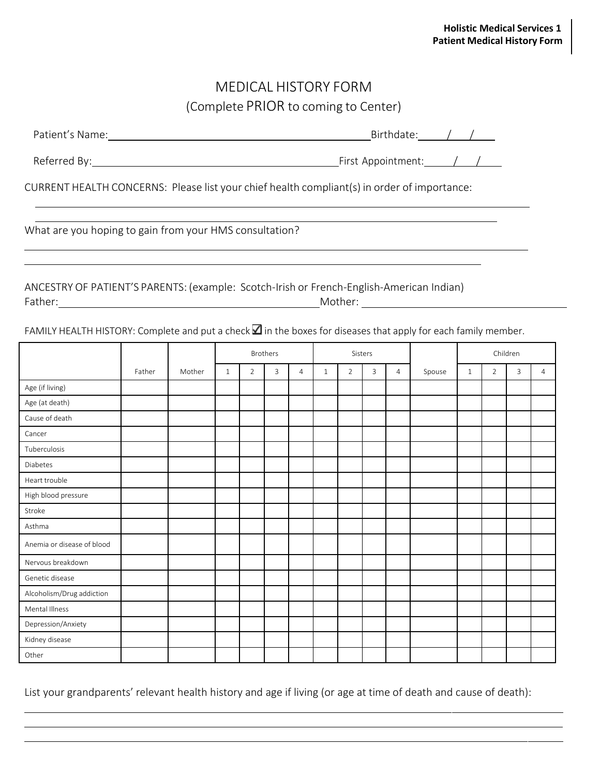# MEDICAL HISTORY FORM (Complete PRIOR to coming to Center)

<u> 1989 - Johann Stoff, deutscher Stoff, der Stoff, der Stoff, der Stoff, der Stoff, der Stoff, der Stoff, der S</u>

| Patient<br>$\sim$ $\sim$ $\sim$<br>s Name. | n. |  |  |
|--------------------------------------------|----|--|--|
|                                            |    |  |  |

Referred By: <u>All Communisties Communisties and Tennisties Appointment: All Communisties and All Communisties A</u>

CURRENT HEALTH CONCERNS: Please list your chief health compliant(s) in order of importance:

## ANCESTRY OF PATIENT'S PARENTS: (example: Scotch‐Irish or French-English-American Indian) Father: Mother: Mother: Mother: Mother: Mother: Mother: Mother: Mother: Mother: Mother: Mother: Mother: Mother: Mother: Mother: Mother: Mother: Mother: Mother: Mother: Mother: Mother: Mother: Mother: Mother: Mother: Mother

FAMILY HEALTH HISTORY: Complete and put a check  $\Box$  in the boxes for diseases that apply for each family member.

|                            |        |        | <b>Brothers</b> |   | Sisters |   |   |                |   | Children       |        |              |                |   |                |
|----------------------------|--------|--------|-----------------|---|---------|---|---|----------------|---|----------------|--------|--------------|----------------|---|----------------|
|                            | Father | Mother | $\mathbf{1}$    | 2 | 3       | 4 | 1 | $\overline{2}$ | 3 | $\overline{4}$ | Spouse | $\mathbf{1}$ | $\overline{2}$ | 3 | $\overline{4}$ |
| Age (if living)            |        |        |                 |   |         |   |   |                |   |                |        |              |                |   |                |
| Age (at death)             |        |        |                 |   |         |   |   |                |   |                |        |              |                |   |                |
| Cause of death             |        |        |                 |   |         |   |   |                |   |                |        |              |                |   |                |
| Cancer                     |        |        |                 |   |         |   |   |                |   |                |        |              |                |   |                |
| Tuberculosis               |        |        |                 |   |         |   |   |                |   |                |        |              |                |   |                |
| Diabetes                   |        |        |                 |   |         |   |   |                |   |                |        |              |                |   |                |
| Heart trouble              |        |        |                 |   |         |   |   |                |   |                |        |              |                |   |                |
| High blood pressure        |        |        |                 |   |         |   |   |                |   |                |        |              |                |   |                |
| Stroke                     |        |        |                 |   |         |   |   |                |   |                |        |              |                |   |                |
| Asthma                     |        |        |                 |   |         |   |   |                |   |                |        |              |                |   |                |
| Anemia or disease of blood |        |        |                 |   |         |   |   |                |   |                |        |              |                |   |                |
| Nervous breakdown          |        |        |                 |   |         |   |   |                |   |                |        |              |                |   |                |
| Genetic disease            |        |        |                 |   |         |   |   |                |   |                |        |              |                |   |                |
| Alcoholism/Drug addiction  |        |        |                 |   |         |   |   |                |   |                |        |              |                |   |                |
| Mental Illness             |        |        |                 |   |         |   |   |                |   |                |        |              |                |   |                |
| Depression/Anxiety         |        |        |                 |   |         |   |   |                |   |                |        |              |                |   |                |
| Kidney disease             |        |        |                 |   |         |   |   |                |   |                |        |              |                |   |                |
| Other                      |        |        |                 |   |         |   |   |                |   |                |        |              |                |   |                |

List your grandparents' relevant health history and age if living (or age at time of death and cause of death):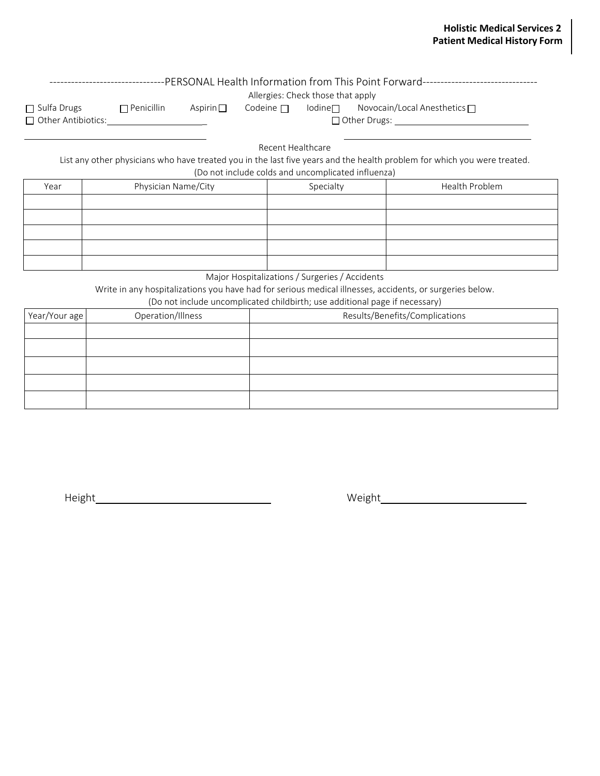|                           |                     |                |                                                                         | Allergies: Check those that apply | -PERSONAL Health Information from This Point Forward-----------------------------                                        |  |
|---------------------------|---------------------|----------------|-------------------------------------------------------------------------|-----------------------------------|--------------------------------------------------------------------------------------------------------------------------|--|
| $\Box$ Sulfa Drugs        | $\Box$ Penicillin   | Aspirin $\Box$ | Codeine $\Box$                                                          | lodine $\Box$                     | Novocain/Local Anesthetics $\Box$                                                                                        |  |
| $\Box$ Other Antibiotics: |                     |                |                                                                         |                                   | $\Box$ Other Drugs:                                                                                                      |  |
|                           |                     |                | Recent Healthcare<br>(Do not include colds and uncomplicated influenza) |                                   | List any other physicians who have treated you in the last five years and the health problem for which you were treated. |  |
|                           |                     |                |                                                                         |                                   |                                                                                                                          |  |
| Year                      | Physician Name/City |                |                                                                         | Specialty                         | Health Problem                                                                                                           |  |
|                           |                     |                |                                                                         |                                   |                                                                                                                          |  |
|                           |                     |                |                                                                         |                                   |                                                                                                                          |  |
|                           |                     |                |                                                                         |                                   |                                                                                                                          |  |
|                           |                     |                |                                                                         |                                   |                                                                                                                          |  |
|                           |                     |                |                                                                         |                                   |                                                                                                                          |  |

Major Hospitalizations / Surgeries / Accidents

Write in any hospitalizations you have had for serious medical illnesses, accidents, or surgeries below. (Do not include uncomplicated childbirth; use additional page if necessary)

| (DO HOC include uncomplicated childrich, ase additional page in necessary) |                   |                                |  |  |  |  |  |  |  |
|----------------------------------------------------------------------------|-------------------|--------------------------------|--|--|--|--|--|--|--|
| Year/Your age                                                              | Operation/Illness | Results/Benefits/Complications |  |  |  |  |  |  |  |
|                                                                            |                   |                                |  |  |  |  |  |  |  |
|                                                                            |                   |                                |  |  |  |  |  |  |  |
|                                                                            |                   |                                |  |  |  |  |  |  |  |
|                                                                            |                   |                                |  |  |  |  |  |  |  |
|                                                                            |                   |                                |  |  |  |  |  |  |  |

Height Weight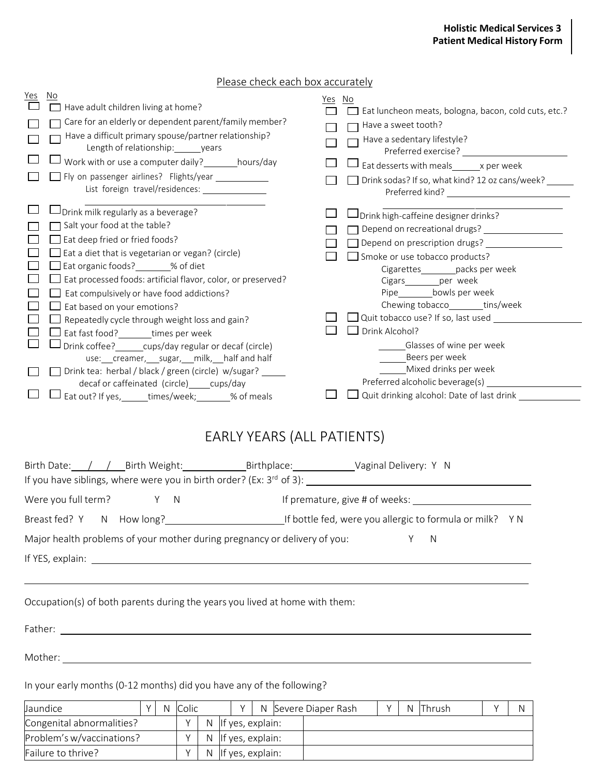## Please check each box accurately

| No<br><u>Yes</u><br>Have adult children living at home?<br>Care for an elderly or dependent parent/family member?<br>Have a difficult primary spouse/partner relationship?<br>Length of relationship: years<br>Work with or use a computer daily? hours/day<br>Fly on passenger airlines? Flights/year _____________<br>List foreign travel/residences: ________________<br>Drink milk regularly as a beverage?<br>Salt your food at the table?<br>Eat deep fried or fried foods?<br>$\Box$ Eat a diet that is vegetarian or vegan? (circle)<br>Eat organic foods? 600 % of diet<br>Eat processed foods: artificial flavor, color, or preserved?<br>Eat compulsively or have food addictions?<br>Eat based on your emotions?<br>Repeatedly cycle through weight loss and gain?<br>Eat fast food? times per week<br>Drink coffee? cups/day regular or decaf (circle)<br>use: ___creamer, ____sugar, ____milk, ___half and half<br>Drink tea: herbal / black / green (circle) w/sugar? | Yes No<br>I Eat luncheon meats, bologna, bacon, cold cuts, etc.?<br>Have a sweet tooth?<br>Have a sedentary lifestyle?<br>Eat desserts with meals x per week<br>Drink sodas? If so, what kind? 12 oz cans/week? ______<br>Drink high-caffeine designer drinks?<br>Depend on recreational drugs?<br>Depend on prescription drugs? _________<br>Smoke or use tobacco products?<br>Cigarettes_________packs per week<br>Cigars_________per week<br>Pipe___________bowls per week<br>Chewing tobacco________tins/week<br>$\sqrt{ }$ Quit tobacco use? If so, last used $\sqrt{ }$<br>$\Box$ Drink Alcohol?<br>Glasses of wine per week<br>Beers per week<br>Mixed drinks per week |
|--------------------------------------------------------------------------------------------------------------------------------------------------------------------------------------------------------------------------------------------------------------------------------------------------------------------------------------------------------------------------------------------------------------------------------------------------------------------------------------------------------------------------------------------------------------------------------------------------------------------------------------------------------------------------------------------------------------------------------------------------------------------------------------------------------------------------------------------------------------------------------------------------------------------------------------------------------------------------------------|-------------------------------------------------------------------------------------------------------------------------------------------------------------------------------------------------------------------------------------------------------------------------------------------------------------------------------------------------------------------------------------------------------------------------------------------------------------------------------------------------------------------------------------------------------------------------------------------------------------------------------------------------------------------------------|
| decaf or caffeinated (circle) _____ cups/day<br>Eat out? If yes, ______times/week; ______% of meals                                                                                                                                                                                                                                                                                                                                                                                                                                                                                                                                                                                                                                                                                                                                                                                                                                                                                  | Preferred alcoholic beverage(s) _                                                                                                                                                                                                                                                                                                                                                                                                                                                                                                                                                                                                                                             |
| EARLY YEARS (ALL PATIENTS)<br>Birth Date: / / Birth Weight: Birthplace: Vaginal Delivery: Y N                                                                                                                                                                                                                                                                                                                                                                                                                                                                                                                                                                                                                                                                                                                                                                                                                                                                                        |                                                                                                                                                                                                                                                                                                                                                                                                                                                                                                                                                                                                                                                                               |
| Were you full term?<br>$\mathsf{N}$<br>Y                                                                                                                                                                                                                                                                                                                                                                                                                                                                                                                                                                                                                                                                                                                                                                                                                                                                                                                                             | If premature, give # of weeks:                                                                                                                                                                                                                                                                                                                                                                                                                                                                                                                                                                                                                                                |
| Breast fed? Y N How long?                                                                                                                                                                                                                                                                                                                                                                                                                                                                                                                                                                                                                                                                                                                                                                                                                                                                                                                                                            | If bottle fed, were you allergic to formula or milk? Y N                                                                                                                                                                                                                                                                                                                                                                                                                                                                                                                                                                                                                      |
| Major health problems of your mother during pregnancy or delivery of you:                                                                                                                                                                                                                                                                                                                                                                                                                                                                                                                                                                                                                                                                                                                                                                                                                                                                                                            | Y<br>N                                                                                                                                                                                                                                                                                                                                                                                                                                                                                                                                                                                                                                                                        |
|                                                                                                                                                                                                                                                                                                                                                                                                                                                                                                                                                                                                                                                                                                                                                                                                                                                                                                                                                                                      |                                                                                                                                                                                                                                                                                                                                                                                                                                                                                                                                                                                                                                                                               |
| <u> 1989 - Johann Stoff, deutscher Stoffen und der Stoffen und der Stoffen und der Stoffen und der Stoffen und der</u>                                                                                                                                                                                                                                                                                                                                                                                                                                                                                                                                                                                                                                                                                                                                                                                                                                                               |                                                                                                                                                                                                                                                                                                                                                                                                                                                                                                                                                                                                                                                                               |
| Occupation(s) of both parents during the years you lived at home with them:                                                                                                                                                                                                                                                                                                                                                                                                                                                                                                                                                                                                                                                                                                                                                                                                                                                                                                          |                                                                                                                                                                                                                                                                                                                                                                                                                                                                                                                                                                                                                                                                               |
| Father: <u>Alexander Alexander Alexander Alexander Alexander Alexander Alexander Alexander Alexander Alexander Alexander Alexander Alexander Alexander Alexander Alexander Alexander Alexander Alexander Alexander Alexander Ale</u>                                                                                                                                                                                                                                                                                                                                                                                                                                                                                                                                                                                                                                                                                                                                                 |                                                                                                                                                                                                                                                                                                                                                                                                                                                                                                                                                                                                                                                                               |
| Mother: Nother: New York: New York: New York: New York: New York: New York: New York: New York: New York: New York: New York: New York: New York: New York: New York: New York: New York: New York: New York: New York: New Yo                                                                                                                                                                                                                                                                                                                                                                                                                                                                                                                                                                                                                                                                                                                                                       |                                                                                                                                                                                                                                                                                                                                                                                                                                                                                                                                                                                                                                                                               |
| In your early months (0-12 months) did you have any of the following?                                                                                                                                                                                                                                                                                                                                                                                                                                                                                                                                                                                                                                                                                                                                                                                                                                                                                                                |                                                                                                                                                                                                                                                                                                                                                                                                                                                                                                                                                                                                                                                                               |

| Jaundice                  |  | Colic |    | N Severe Diaper Rash |  | N.               | <b>Thrush</b> |  |  |  |
|---------------------------|--|-------|----|----------------------|--|------------------|---------------|--|--|--|
| Congenital abnormalities? |  |       | N. |                      |  | If yes, explain: |               |  |  |  |
| Problem's w/vaccinations? |  |       | N. |                      |  | If yes, explain: |               |  |  |  |
| Failure to thrive?        |  |       | N. |                      |  | If yes, explain: |               |  |  |  |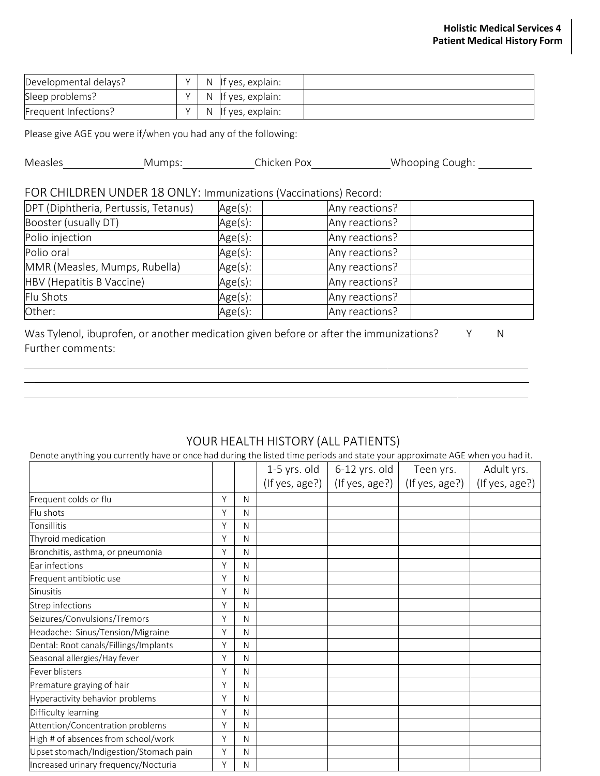| Developmental delays? | N            | llf ves, explain: |  |
|-----------------------|--------------|-------------------|--|
| Sleep problems?       | <sup>N</sup> | If yes, explain:  |  |
| Frequent Infections?  | <sup>N</sup> | If yes, explain:  |  |

Please give AGE you were if/when you had any of the following:

| Measles<br>Whooping Cough:<br>Chicken Pox-<br>Mumps: |  |
|------------------------------------------------------|--|
|------------------------------------------------------|--|

# FOR CHILDREN UNDER 18 ONLY: Immunizations (Vaccinations) Record:

| DPT (Diphtheria, Pertussis, Tetanus) | Age(s): | Any reactions? |
|--------------------------------------|---------|----------------|
| Booster (usually DT)                 | Age(s): | Any reactions? |
| Polio injection                      | Age(s): | Any reactions? |
| Polio oral                           | Age(s): | Any reactions? |
| MMR (Measles, Mumps, Rubella)        | Age(s): | Any reactions? |
| HBV (Hepatitis B Vaccine)            | Age(s): | Any reactions? |
| Flu Shots                            | Age(s): | Any reactions? |
| Other:                               | Age(s): | Any reactions? |

| Was Tylenol, ibuprofen, or another medication given before or after the immunizations? |  |
|----------------------------------------------------------------------------------------|--|
| Further comments:                                                                      |  |

# YOUR HEALTH HISTORY (ALL PATIENTS)

Denote anything you currently have or once had during the listed time periods and state your approximate AGE when you had it.

|                                        |   |   | 1-5 yrs. old | 6-12 yrs. old                     | Teen yrs.      | Adult yrs.     |
|----------------------------------------|---|---|--------------|-----------------------------------|----------------|----------------|
|                                        |   |   |              | (If yes, age?) $ $ (If yes, age?) | (If yes, age?) | (If yes, age?) |
| Frequent colds or flu                  | Y | N |              |                                   |                |                |
| Flu shots                              | Y | N |              |                                   |                |                |
| Tonsillitis                            | Y | N |              |                                   |                |                |
| Thyroid medication                     | Y | N |              |                                   |                |                |
| Bronchitis, asthma, or pneumonia       | Y | N |              |                                   |                |                |
| Ear infections                         | Y | N |              |                                   |                |                |
| Frequent antibiotic use                | Y | N |              |                                   |                |                |
| <b>Sinusitis</b>                       | Y | N |              |                                   |                |                |
| Strep infections                       | Y | N |              |                                   |                |                |
| Seizures/Convulsions/Tremors           | Y | N |              |                                   |                |                |
| Headache: Sinus/Tension/Migraine       | Y | N |              |                                   |                |                |
| Dental: Root canals/Fillings/Implants  | Y | N |              |                                   |                |                |
| Seasonal allergies/Hay fever           | Y | N |              |                                   |                |                |
| Fever blisters                         | Y | N |              |                                   |                |                |
| Premature graying of hair              | Y | N |              |                                   |                |                |
| Hyperactivity behavior problems        | Y | N |              |                                   |                |                |
| Difficulty learning                    | Y | N |              |                                   |                |                |
| Attention/Concentration problems       | Y | N |              |                                   |                |                |
| High # of absences from school/work    | Y | N |              |                                   |                |                |
| Upset stomach/Indigestion/Stomach pain | Y | N |              |                                   |                |                |
| Increased urinary frequency/Nocturia   | Y | N |              |                                   |                |                |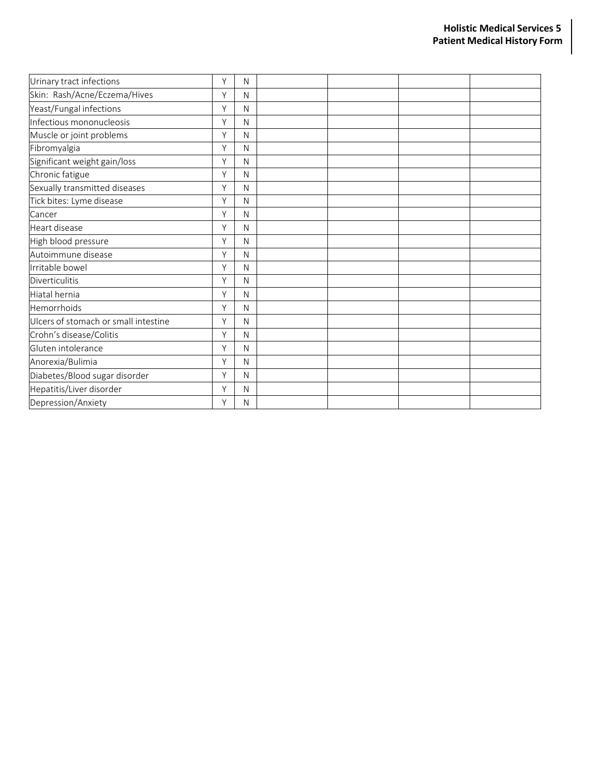| Urinary tract infections             | Y | N            |  |  |
|--------------------------------------|---|--------------|--|--|
| Skin: Rash/Acne/Eczema/Hives         | Y | N            |  |  |
| Yeast/Fungal infections              | Y | $\mathsf{N}$ |  |  |
| Infectious mononucleosis             | Y | N            |  |  |
| Muscle or joint problems             | Y | N            |  |  |
| Fibromyalgia                         | Y | N            |  |  |
| Significant weight gain/loss         | Y | N            |  |  |
| Chronic fatigue                      | Y | N            |  |  |
| Sexually transmitted diseases        | Y | N            |  |  |
| Tick bites: Lyme disease             | Y | N            |  |  |
| Cancer                               | Y | N            |  |  |
| Heart disease                        | Y | N            |  |  |
| High blood pressure                  | Y | N            |  |  |
| Autoimmune disease                   | Y | N            |  |  |
| Irritable bowel                      | Y | N            |  |  |
| <b>Diverticulitis</b>                | Y | N            |  |  |
| Hiatal hernia                        | Y | N            |  |  |
| Hemorrhoids                          | Y | N            |  |  |
| Ulcers of stomach or small intestine | Y | N            |  |  |
| Crohn's disease/Colitis              | Y | N            |  |  |
| Gluten intolerance                   | Y | $\mathsf{N}$ |  |  |
| Anorexia/Bulimia                     | Y | N            |  |  |
| Diabetes/Blood sugar disorder        | Y | $\mathsf{N}$ |  |  |
| Hepatitis/Liver disorder             | Y | N            |  |  |
| Depression/Anxiety                   | Y | N            |  |  |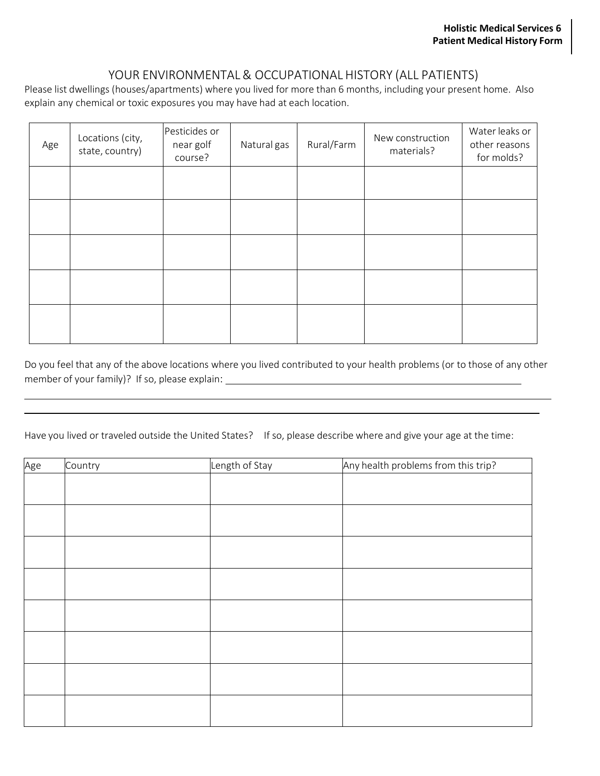# YOUR ENVIRONMENTAL& OCCUPATIONAL HISTORY (ALL PATIENTS)

Please list dwellings (houses/apartments) where you lived for more than 6 months, including your present home. Also explain any chemical or toxic exposures you may have had at each location.

| Age | Locations (city,<br>state, country) | Pesticides or<br>near golf<br>course? | Natural gas | Rural/Farm | New construction<br>materials? | Water leaks or<br>other reasons<br>for molds? |
|-----|-------------------------------------|---------------------------------------|-------------|------------|--------------------------------|-----------------------------------------------|
|     |                                     |                                       |             |            |                                |                                               |
|     |                                     |                                       |             |            |                                |                                               |
|     |                                     |                                       |             |            |                                |                                               |
|     |                                     |                                       |             |            |                                |                                               |
|     |                                     |                                       |             |            |                                |                                               |

Do you feel that any of the above locations where you lived contributed to your health problems (or to those of any other member of your family)? If so, please explain:

Have you lived or traveled outside the United States? If so, please describe where and give your age at the time:

| Age | Country | Length of Stay | Any health problems from this trip? |
|-----|---------|----------------|-------------------------------------|
|     |         |                |                                     |
|     |         |                |                                     |
|     |         |                |                                     |
|     |         |                |                                     |
|     |         |                |                                     |
|     |         |                |                                     |
|     |         |                |                                     |
|     |         |                |                                     |
|     |         |                |                                     |
|     |         |                |                                     |
|     |         |                |                                     |
|     |         |                |                                     |
|     |         |                |                                     |
|     |         |                |                                     |
|     |         |                |                                     |
|     |         |                |                                     |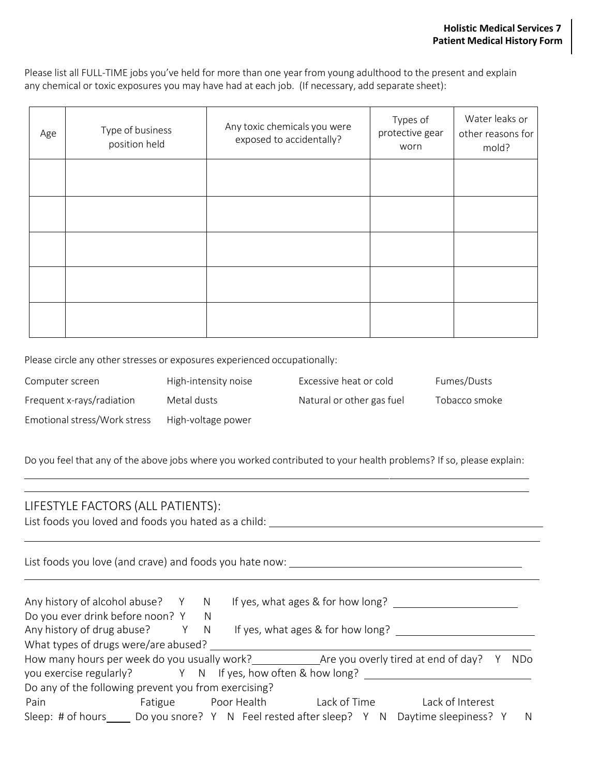Please list all FULL-TIME jobs you've held for more than one year from young adulthood to the present and explain any chemical or toxic exposures you may have had at each job. (If necessary, add separate sheet):

| Age | Type of business<br>position held | Any toxic chemicals you were<br>exposed to accidentally? | Types of<br>protective gear<br>worn | Water leaks or<br>other reasons for<br>mold? |
|-----|-----------------------------------|----------------------------------------------------------|-------------------------------------|----------------------------------------------|
|     |                                   |                                                          |                                     |                                              |
|     |                                   |                                                          |                                     |                                              |
|     |                                   |                                                          |                                     |                                              |
|     |                                   |                                                          |                                     |                                              |
|     |                                   |                                                          |                                     |                                              |

Please circle any other stresses or exposures experienced occupationally:

| Computer screen              | High-intensity noise | Excessive heat or cold    | Fumes/Dusts   |
|------------------------------|----------------------|---------------------------|---------------|
| Frequent x-rays/radiation    | Metal dusts          | Natural or other gas fuel | Tobacco smoke |
| Emotional stress/Work stress | High-voltage power   |                           |               |

Do you feel that any of the above jobs where you worked contributed to your health problems? If so, please explain:

### LIFESTYLE FACTORS (ALL PATIENTS):

List foods you loved and foods you hated as a child:

List foods you love (and crave) and foods you hate now:

| Any history of alcohol abuse? Y                           |         | N |             | If yes, what ages & for how long?              |                                     |     |
|-----------------------------------------------------------|---------|---|-------------|------------------------------------------------|-------------------------------------|-----|
| Do you ever drink before noon? Y                          |         | N |             |                                                |                                     |     |
| Any history of drug abuse?                                |         | N |             | If yes, what ages & for how long?              |                                     |     |
| What types of drugs were/are abused?                      |         |   |             |                                                |                                     |     |
| How many hours per week do you usually work?              |         |   |             |                                                | Are you overly tired at end of day? | NDo |
| you exercise regularly? Y N If yes, how often & how long? |         |   |             |                                                |                                     |     |
| Do any of the following prevent you from exercising?      |         |   |             |                                                |                                     |     |
| Pain                                                      | Fatigue |   | Poor Health | Lack of Time                                   | Lack of Interest                    |     |
| Sleep: # of hours                                         |         |   |             | Do you snore? Y N Feel rested after sleep? Y N | Daytime sleepiness? Y               | N.  |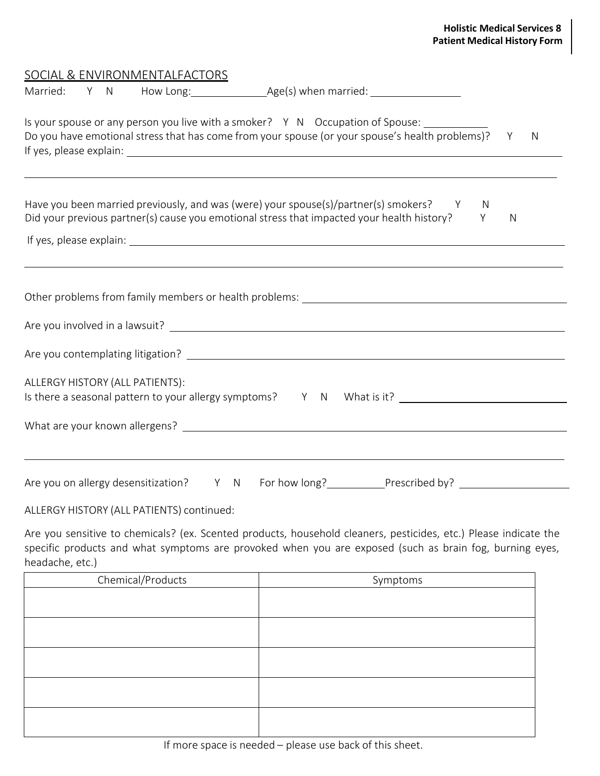| Is your spouse or any person you live with a smoker? Y N Occupation of Spouse:<br>Do you have emotional stress that has come from your spouse (or your spouse's health problems)? Y                                       |   | N |
|---------------------------------------------------------------------------------------------------------------------------------------------------------------------------------------------------------------------------|---|---|
| Have you been married previously, and was (were) your spouse(s)/partner(s) smokers? Y<br><sup>N</sup><br>Did your previous partner(s) cause you emotional stress that impacted your health history? Y                     | N |   |
|                                                                                                                                                                                                                           |   |   |
| <u> 1989 - Andrea Santa Andrea Andrea Andrea Andrea Andrea Andrea Andrea Andrea Andrea Andrea Andrea Andrea Andr</u>                                                                                                      |   |   |
|                                                                                                                                                                                                                           |   |   |
|                                                                                                                                                                                                                           |   |   |
|                                                                                                                                                                                                                           |   |   |
| ALLERGY HISTORY (ALL PATIENTS):                                                                                                                                                                                           |   |   |
| Is there a seasonal pattern to your allergy symptoms? Y N What is it? ______________________________                                                                                                                      |   |   |
|                                                                                                                                                                                                                           |   |   |
|                                                                                                                                                                                                                           |   |   |
| ,我们也不会有什么。""我们的人,我们也不会有什么?""我们的人,我们也不会有什么?""我们的人,我们也不会有什么?""我们的人,我们也不会有什么?""我们的人<br>Are you on allergy desensitization? Y N For how long? Prescribed by? ____________<br>$\lambda$ LIFROVIUCTORY/ALL BATIFALTO) $\lambda$ |   |   |

ALLERGY HISTORY (ALL PATIENTS) continued:

Are you sensitive to chemicals? (ex. Scented products, household cleaners, pesticides, etc.) Please indicate the specific products and what symptoms are provoked when you are exposed (such as brain fog, burning eyes, headache, etc.)

| Chemical/Products | Symptoms |
|-------------------|----------|
|                   |          |
|                   |          |
|                   |          |
|                   |          |
|                   |          |
|                   |          |
|                   |          |
|                   |          |
|                   |          |
|                   |          |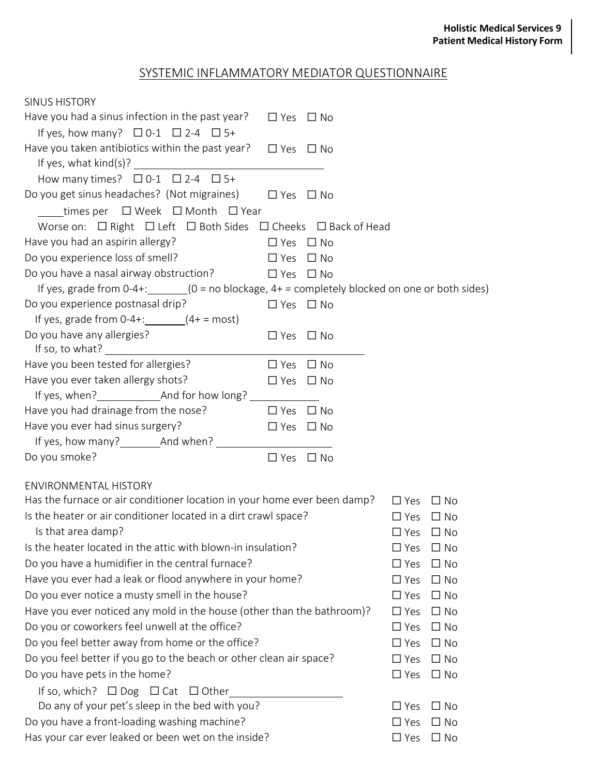# SYSTEMIC INFLAMMATORY MEDIATOR QUESTIONNAIRE

| <b>SINUS HISTORY</b>                                                                        |                      |              |                            |
|---------------------------------------------------------------------------------------------|----------------------|--------------|----------------------------|
| Have you had a sinus infection in the past year?                                            | $\Box$ Yes           | $\Box$ No    |                            |
| If yes, how many? $\Box$ 0-1 $\Box$ 2-4 $\Box$ 5+                                           |                      |              |                            |
| Have you taken antibiotics within the past year? $\Box$ Yes $\Box$ No                       |                      |              |                            |
|                                                                                             |                      |              |                            |
| How many times? $\Box$ 0-1 $\Box$ 2-4 $\Box$ 5+                                             |                      |              |                            |
| Do you get sinus headaches? (Not migraines) $\Box$ Yes $\Box$ No                            |                      |              |                            |
| times per $\Box$ Week $\Box$ Month $\Box$ Year                                              |                      |              |                            |
| Worse on: $\Box$ Right $\Box$ Left $\Box$ Both Sides $\Box$ Cheeks $\Box$ Back of Head      |                      |              |                            |
| Have you had an aspirin allergy?                                                            | $\Box$ Yes           | $\Box$ No    |                            |
| Do you experience loss of smell?                                                            | $\square$ Yes        | $\Box$ No    |                            |
| Do you have a nasal airway obstruction?                                                     | $\Box$ Yes $\Box$ No |              |                            |
| If yes, grade from 0-4+: $(0 = no blockage, 4 + = completely blocked on one or both sides)$ |                      |              |                            |
| Do you experience postnasal drip?                                                           | $\Box$ Yes $\Box$ No |              |                            |
| If yes, grade from $0-4+$ : $(4+ = most)$                                                   |                      |              |                            |
| Do you have any allergies?                                                                  | $\Box$ Yes $\Box$ No |              |                            |
|                                                                                             |                      |              |                            |
| Have you been tested for allergies?                                                         | $\Box$ Yes           | $\Box$ No    |                            |
| Have you ever taken allergy shots?                                                          | $\Box$ Yes $\Box$ No |              |                            |
|                                                                                             |                      |              |                            |
| Have you had drainage from the nose?                                                        | $\Box$ Yes           | $\square$ No |                            |
| Have you ever had sinus surgery?                                                            | $\Box$ Yes $\Box$ No |              |                            |
|                                                                                             |                      |              |                            |
| Do you smoke?                                                                               | $\Box$ Yes           | $\Box$ No    |                            |
| <b>ENVIRONMENTAL HISTORY</b>                                                                |                      |              |                            |
| Has the furnace or air conditioner location in your home ever been damp?                    |                      |              | $\Box$ Yes<br>$\Box$ No    |
| Is the heater or air conditioner located in a dirt crawl space?                             |                      |              |                            |
|                                                                                             |                      |              | $\Box$ Yes $\Box$ No       |
| Is that area damp?<br>Is the heater located in the attic with blown-in insulation?          |                      |              | $\Box$ Yes $\Box$ No       |
|                                                                                             |                      |              | $\Box$ Yes<br>$\Box$ No    |
| Do you have a humidifier in the central furnace?                                            |                      |              | $\Box$ No<br>$\square$ Yes |
| Have you ever had a leak or flood anywhere in your home?                                    |                      |              | $\Box$ No<br>$\Box$ Yes    |
| Do you ever notice a musty smell in the house?                                              |                      |              | $\Box$ Yes<br>$\Box$ No    |
| Have you ever noticed any mold in the house (other than the bathroom)?                      |                      |              | $\Box$ Yes<br>$\Box$ No    |
| Do you or coworkers feel unwell at the office?                                              |                      |              | $\Box$ No<br>$\Box$ Yes    |
| Do you feel better away from home or the office?                                            |                      |              | $\Box$ No<br>$\Box$ Yes    |
| Do you feel better if you go to the beach or other clean air space?                         |                      |              | $\Box$ No<br>$\Box$ Yes    |
| Do you have pets in the home?                                                               |                      |              | $\Box$ No<br>$\square$ Yes |
| If so, which? $\Box$ Dog $\Box$ Cat $\Box$ Other                                            |                      |              |                            |
| Do any of your pet's sleep in the bed with you?                                             |                      |              | $\square$ No<br>$\Box$ Yes |
| Do you have a front-loading washing machine?                                                |                      |              | $\Box$ No<br>$\Box$ Yes    |
| Has your car ever leaked or been wet on the inside?                                         |                      |              | $\Box$ Yes<br>$\Box$ No    |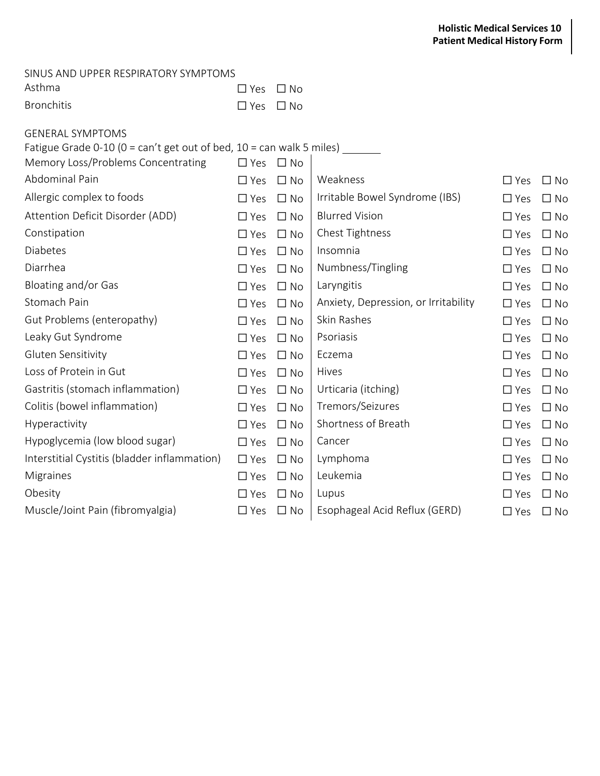#### SINUS AND UPPER RESPIRATORY SYMPTOMS

| Asthma     | $\Box$ Yes $\Box$ No |  |
|------------|----------------------|--|
| Bronchitis | $\Box$ Yes $\Box$ No |  |

| <b>GENERAL SYMPTOMS</b>                                                                         |               |              |                                      |            |           |
|-------------------------------------------------------------------------------------------------|---------------|--------------|--------------------------------------|------------|-----------|
| Fatigue Grade 0-10 ( $0 = \text{can't get out of bed}, 10 = \text{can walk } 5 \text{ miles}$ ) |               |              |                                      |            |           |
| Memory Loss/Problems Concentrating                                                              | $\Box$ Yes    | $\Box$ No    |                                      |            |           |
| Abdominal Pain                                                                                  | $\Box$ Yes    | $\Box$ No    | Weakness                             | $\Box$ Yes | $\Box$ No |
| Allergic complex to foods                                                                       | $\Box$ Yes    | $\Box$ No    | Irritable Bowel Syndrome (IBS)       | $\Box$ Yes | $\Box$ No |
| Attention Deficit Disorder (ADD)                                                                | $\Box$ Yes    | $\Box$ No    | <b>Blurred Vision</b>                | $\Box$ Yes | $\Box$ No |
| Constipation                                                                                    | $\Box$ Yes    | $\Box$ No    | Chest Tightness                      | $\Box$ Yes | $\Box$ No |
| <b>Diabetes</b>                                                                                 | $\Box$ Yes    | $\Box$ No    | Insomnia                             | $\Box$ Yes | $\Box$ No |
| Diarrhea                                                                                        | $\Box$ Yes    | $\Box$ No    | Numbness/Tingling                    | $\Box$ Yes | $\Box$ No |
| Bloating and/or Gas                                                                             | $\Box$ Yes    | $\Box$ No    | Laryngitis                           | $\Box$ Yes | $\Box$ No |
| Stomach Pain                                                                                    | $\Box$ Yes    | $\Box$ No    | Anxiety, Depression, or Irritability | $\Box$ Yes | $\Box$ No |
| Gut Problems (enteropathy)                                                                      | $\Box$ Yes    | $\Box$ No    | Skin Rashes                          | $\Box$ Yes | $\Box$ No |
| Leaky Gut Syndrome                                                                              | $\Box$ Yes    | $\Box$ No    | Psoriasis                            | $\Box$ Yes | $\Box$ No |
| Gluten Sensitivity                                                                              | $\square$ Yes | $\Box$ No    | Eczema                               | $\Box$ Yes | $\Box$ No |
| Loss of Protein in Gut                                                                          | $\square$ Yes | $\Box$ No    | Hives                                | $\Box$ Yes | $\Box$ No |
| Gastritis (stomach inflammation)                                                                | $\Box$ Yes    | $\Box$ No    | Urticaria (itching)                  | $\Box$ Yes | $\Box$ No |
| Colitis (bowel inflammation)                                                                    | $\Box$ Yes    | $\Box$ No    | Tremors/Seizures                     | $\Box$ Yes | $\Box$ No |
| Hyperactivity                                                                                   | $\Box$ Yes    | $\Box$ No    | Shortness of Breath                  | $\Box$ Yes | $\Box$ No |
| Hypoglycemia (low blood sugar)                                                                  | $\Box$ Yes    | $\Box$ No    | Cancer                               | $\Box$ Yes | $\Box$ No |
| Interstitial Cystitis (bladder inflammation)                                                    | $\Box$ Yes    | $\Box$ No    | Lymphoma                             | $\Box$ Yes | $\Box$ No |
| Migraines                                                                                       | $\Box$ Yes    | $\square$ No | Leukemia                             | $\Box$ Yes | $\Box$ No |
| Obesity                                                                                         | $\Box$ Yes    | $\Box$ No    | Lupus                                | $\Box$ Yes | $\Box$ No |
| Muscle/Joint Pain (fibromyalgia)                                                                | $\Box$ Yes    | $\Box$ No    | Esophageal Acid Reflux (GERD)        | $\Box$ Yes | $\Box$ No |
|                                                                                                 |               |              |                                      |            |           |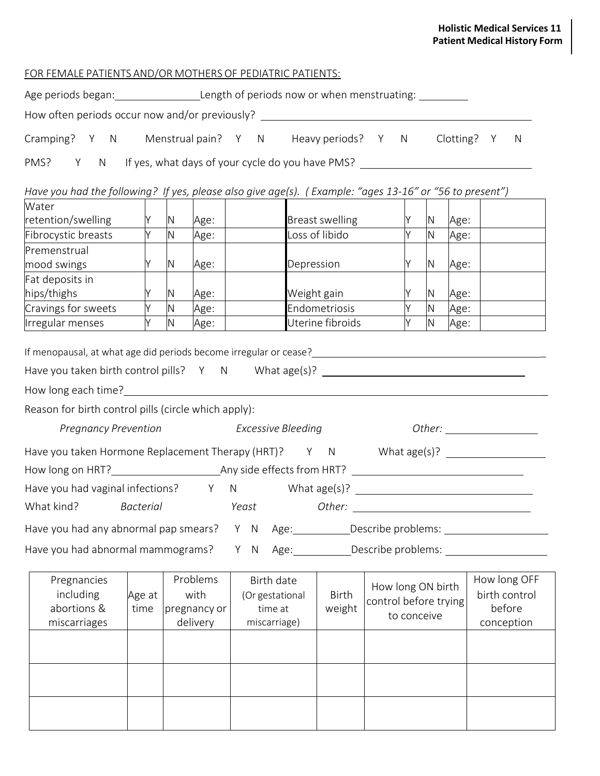### **Holistic Medical Services 11 Patient Medical History Form**

| FOR FEMALE PATIENTS AND/OR MOTHERS OF PEDIATRIC PATIENTS: |  |
|-----------------------------------------------------------|--|
|                                                           |  |

| How often periods occur now and/or previously? _________________________________                                                                                                                                                                                                                                                                                                                                                                              |                |              |                                              |     |                                                          |                         |             |                                            |      |                                                       |
|---------------------------------------------------------------------------------------------------------------------------------------------------------------------------------------------------------------------------------------------------------------------------------------------------------------------------------------------------------------------------------------------------------------------------------------------------------------|----------------|--------------|----------------------------------------------|-----|----------------------------------------------------------|-------------------------|-------------|--------------------------------------------|------|-------------------------------------------------------|
| Cramping? Y N Menstrual pain? Y N Heavy periods? Y N Clotting? Y                                                                                                                                                                                                                                                                                                                                                                                              |                |              |                                              |     |                                                          |                         |             |                                            |      | N                                                     |
| Y N If yes, what days of your cycle do you have PMS?<br>PMS?                                                                                                                                                                                                                                                                                                                                                                                                  |                |              |                                              |     |                                                          |                         |             |                                            |      |                                                       |
| Have you had the following? If yes, please also give age(s). (Example: "ages 13-16" or "56 to present")                                                                                                                                                                                                                                                                                                                                                       |                |              |                                              |     |                                                          |                         |             |                                            |      |                                                       |
| Water                                                                                                                                                                                                                                                                                                                                                                                                                                                         |                |              |                                              |     |                                                          |                         |             |                                            |      |                                                       |
| retention/swelling                                                                                                                                                                                                                                                                                                                                                                                                                                            | Y -<br>Y.      | N<br>N.      | Age:                                         |     |                                                          | <b>Breast swelling</b>  | Y.          | Y  N  Age:<br>N                            |      |                                                       |
| Fibrocystic breasts                                                                                                                                                                                                                                                                                                                                                                                                                                           |                |              | Age:                                         |     |                                                          | Loss of libido          |             |                                            | Age: |                                                       |
| Premenstrual<br>mood swings                                                                                                                                                                                                                                                                                                                                                                                                                                   | <b>Y</b>       | N            | Age:                                         |     | Depression                                               |                         |             | $Y$ N                                      | Age: |                                                       |
| Fat deposits in                                                                                                                                                                                                                                                                                                                                                                                                                                               |                |              |                                              |     |                                                          |                         |             |                                            |      |                                                       |
| hips/thighs                                                                                                                                                                                                                                                                                                                                                                                                                                                   | Y              | N            | Age:                                         |     |                                                          | Weight gain             | Y           | N                                          | Age: |                                                       |
| Cravings for sweets                                                                                                                                                                                                                                                                                                                                                                                                                                           | Y I            | N            | Age:                                         |     |                                                          | Endometriosis           | Y.          | N                                          | Age: |                                                       |
| Irregular menses                                                                                                                                                                                                                                                                                                                                                                                                                                              | Y              | $\mathsf{N}$ | Age:                                         |     |                                                          | Uterine fibroids        | Y           | N                                          | Age: |                                                       |
| If menopausal, at what age did periods become irregular or cease?<br>Managem Managem Managem Managem Managem Managem Managem Managem Managem Managem Managem Managem Managem Manag<br>Have you taken birth control pills? Y N What age(s)? ___________________________<br>Reason for birth control pills (circle which apply):<br>Pregnancy Prevention Excessive Bleeding<br>Have you taken Hormone Replacement Therapy (HRT)? Y N What age(s)? _____________ |                |              |                                              |     |                                                          |                         |             |                                            |      |                                                       |
|                                                                                                                                                                                                                                                                                                                                                                                                                                                               |                |              |                                              |     |                                                          |                         |             |                                            |      |                                                       |
| Have you had vaginal infections? Y N What age(s)? ______________________________                                                                                                                                                                                                                                                                                                                                                                              |                |              |                                              |     |                                                          |                         |             |                                            |      |                                                       |
| What kind? Bacterial                                                                                                                                                                                                                                                                                                                                                                                                                                          |                |              |                                              |     | Yeast                                                    |                         |             |                                            |      |                                                       |
| Have you had any abnormal pap smears? Y N Age: ___________Describe problems: _______________________                                                                                                                                                                                                                                                                                                                                                          |                |              |                                              |     |                                                          |                         |             |                                            |      |                                                       |
| Have you had abnormal mammograms?                                                                                                                                                                                                                                                                                                                                                                                                                             |                |              |                                              | Y N |                                                          | Age: Describe problems: |             |                                            |      |                                                       |
| Pregnancies<br>including<br>abortions &<br>miscarriages                                                                                                                                                                                                                                                                                                                                                                                                       | Age at<br>time |              | Problems<br>with<br>pregnancy or<br>delivery |     | Birth date<br>(Or gestational<br>time at<br>miscarriage) | <b>Birth</b><br>weight  | to conceive | How long ON birth<br>control before trying |      | How long OFF<br>birth control<br>before<br>conception |
|                                                                                                                                                                                                                                                                                                                                                                                                                                                               |                |              |                                              |     |                                                          |                         |             |                                            |      |                                                       |
|                                                                                                                                                                                                                                                                                                                                                                                                                                                               |                |              |                                              |     |                                                          |                         |             |                                            |      |                                                       |
|                                                                                                                                                                                                                                                                                                                                                                                                                                                               |                |              |                                              |     |                                                          |                         |             |                                            |      |                                                       |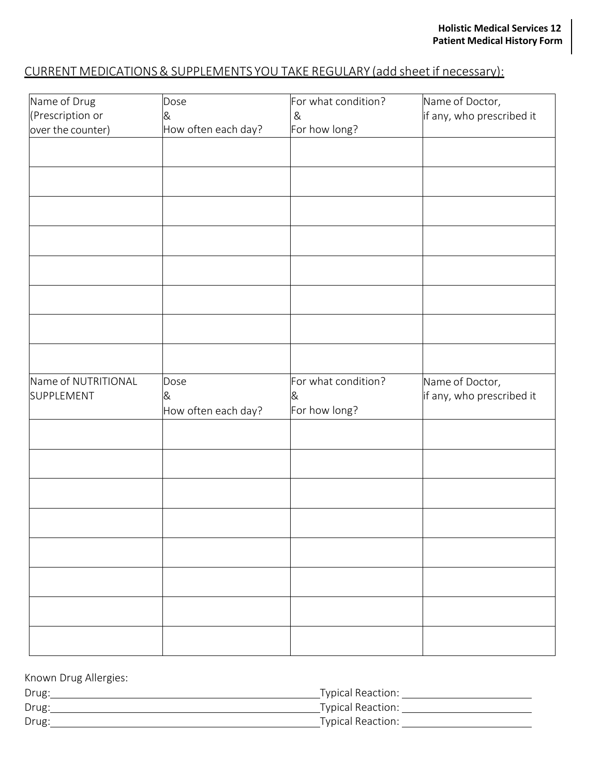# CURRENT MEDICATIONS& SUPPLEMENTS YOU TAKE REGULARY (add sheet if necessary):

| Name of Drug                      | Dose                | For what condition?                       | Name of Doctor,                              |
|-----------------------------------|---------------------|-------------------------------------------|----------------------------------------------|
| (Prescription or                  | &                   | &                                         | if any, who prescribed it                    |
| over the counter)                 | How often each day? | For how long?                             |                                              |
|                                   |                     |                                           |                                              |
|                                   |                     |                                           |                                              |
|                                   |                     |                                           |                                              |
|                                   |                     |                                           |                                              |
|                                   |                     |                                           |                                              |
|                                   |                     |                                           |                                              |
|                                   |                     |                                           |                                              |
|                                   |                     |                                           |                                              |
|                                   |                     |                                           |                                              |
|                                   |                     |                                           |                                              |
| Name of NUTRITIONAL<br>SUPPLEMENT | Dose<br>&           | For what condition?<br>&<br>For how long? | Name of Doctor,<br>if any, who prescribed it |
|                                   | How often each day? |                                           |                                              |
|                                   |                     |                                           |                                              |
|                                   |                     |                                           |                                              |
|                                   |                     |                                           |                                              |
|                                   |                     |                                           |                                              |
|                                   |                     |                                           |                                              |
|                                   |                     |                                           |                                              |

| Known Drug Allergies: |                          |
|-----------------------|--------------------------|
| Drug:                 | <b>Typical Reaction:</b> |
| Drug:                 | <b>Typical Reaction:</b> |
| Drug:                 | <b>Typical Reaction:</b> |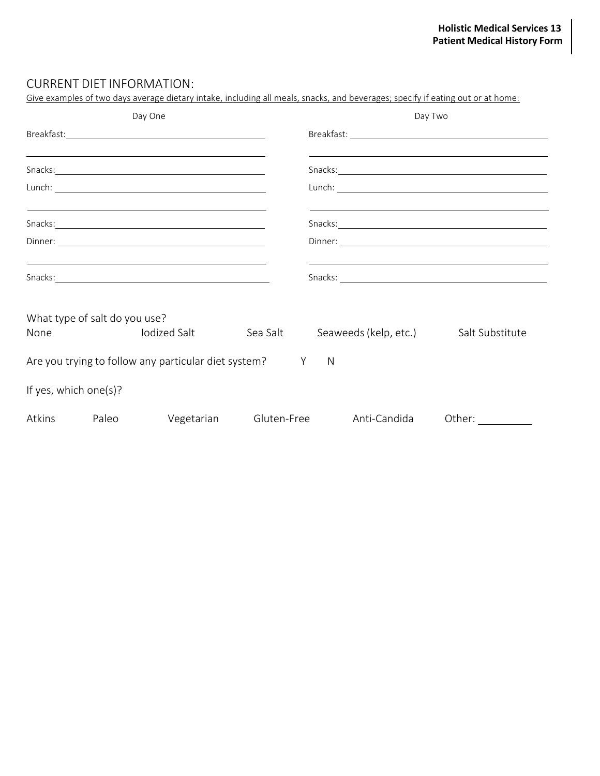### CURRENT DIET INFORMATION:

| Give examples of two days average dietary intake, including all meals, snacks, and beverages; specify if eating out or at home:                                                                                                |       |                                                             |  |                                                                                                                      |                                                             |               |  |  |
|--------------------------------------------------------------------------------------------------------------------------------------------------------------------------------------------------------------------------------|-------|-------------------------------------------------------------|--|----------------------------------------------------------------------------------------------------------------------|-------------------------------------------------------------|---------------|--|--|
| Day One                                                                                                                                                                                                                        |       |                                                             |  | Day Two                                                                                                              |                                                             |               |  |  |
|                                                                                                                                                                                                                                |       |                                                             |  |                                                                                                                      |                                                             |               |  |  |
| <u> 1989 - Johann Stoff, deutscher Stoff, der Stoff, der Stoff, der Stoff, der Stoff, der Stoff, der Stoff, der S</u>                                                                                                          |       |                                                             |  |                                                                                                                      |                                                             |               |  |  |
|                                                                                                                                                                                                                                |       |                                                             |  |                                                                                                                      |                                                             |               |  |  |
| <u> 1989 - Johann Stoff, deutscher Stoff, der Stoff, der Stoff, der Stoff, der Stoff, der Stoff, der Stoff, der S</u>                                                                                                          |       |                                                             |  | <u> 1989 - Andrea Santa Andrea Andrea Andrea Andrea Andrea Andrea Andrea Andrea Andrea Andrea Andrea Andrea Andr</u> |                                                             |               |  |  |
| Dinner: National Communication of the Communication of the Communication of the Communication of the Communication of the Communication of the Communication of the Communication of the Communication of the Communication of |       |                                                             |  |                                                                                                                      |                                                             |               |  |  |
| the control of the control of the control of the control of the control of the control of the control of the control of the control of the control of the control of the control of the control of the control of the control  |       |                                                             |  |                                                                                                                      | <u> 1989 - Johann Stoff, amerikansk politiker (d. 1989)</u> |               |  |  |
| What type of salt do you use?<br>None                                                                                                                                                                                          |       | lodized Salt Sea Salt Seaweeds (kelp, etc.) Salt Substitute |  |                                                                                                                      |                                                             |               |  |  |
| Are you trying to follow any particular diet system? Y N                                                                                                                                                                       |       |                                                             |  |                                                                                                                      |                                                             |               |  |  |
| If yes, which one(s)?                                                                                                                                                                                                          |       |                                                             |  |                                                                                                                      |                                                             |               |  |  |
| Atkins                                                                                                                                                                                                                         | Paleo |                                                             |  |                                                                                                                      | Vegetarian Gluten-Free Anti-Candida                         | Other: $\_\_$ |  |  |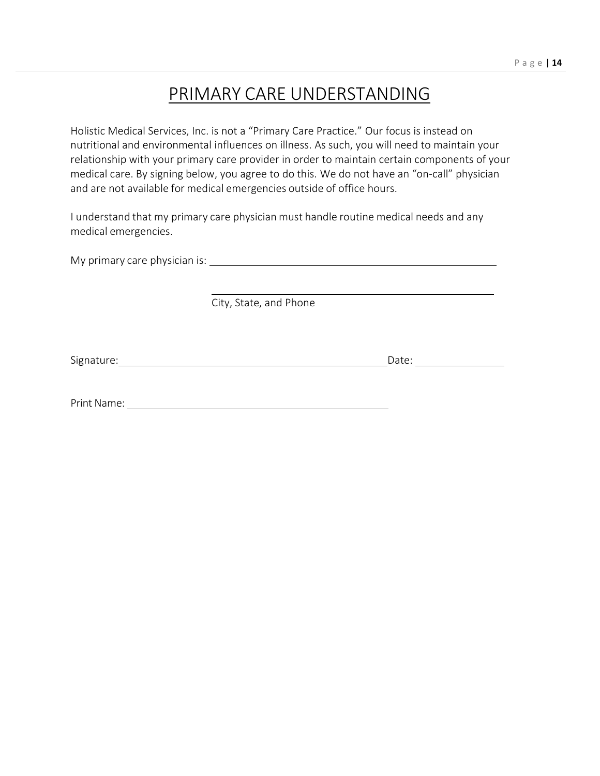# PRIMARY CARE UNDERSTANDING

Holistic Medical Services, Inc. is not a "Primary Care Practice." Our focus is instead on nutritional and environmental influences on illness. As such, you will need to maintain your relationship with your primary care provider in order to maintain certain components of your medical care. By signing below, you agree to do this. We do not have an "on-call" physician and are not available for medical emergencies outside of office hours.

I understand that my primary care physician must handle routine medical needs and any medical emergencies.

My primary care physician is:

City, State, and Phone

Signature: Date: Date: Date: Date: Date: Date: Date: Date: Date: Date: Date: Date: Date: Date: Date: Date: Date: Date: Date: Date: Date: Date: Date: Date: Date: Date: Date: Date: Date: Date: Date: Date: Date: Date: Date: D

Print Name: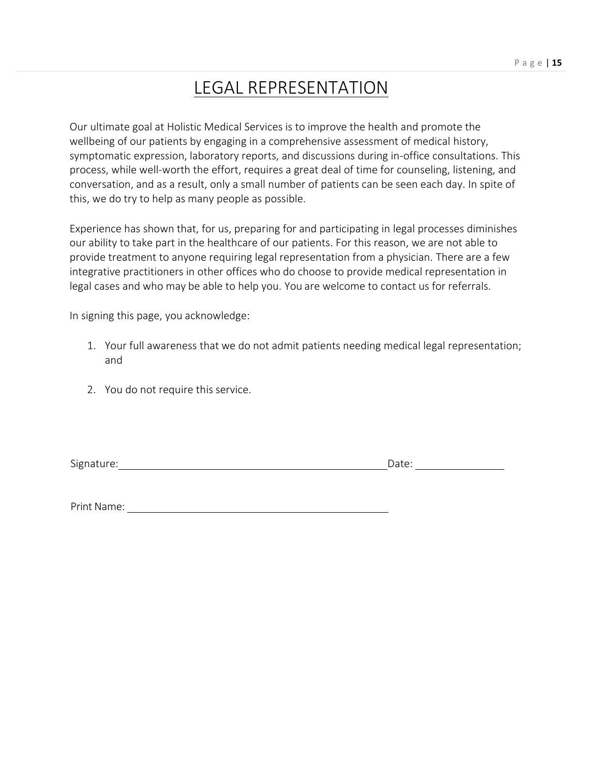# LEGAL REPRESENTATION

Our ultimate goal at Holistic Medical Services is to improve the health and promote the wellbeing of our patients by engaging in a comprehensive assessment of medical history, symptomatic expression, laboratory reports, and discussions during in-office consultations. This process, while well-worth the effort, requires a great deal of time for counseling, listening, and conversation, and as a result, only a small number of patients can be seen each day. In spite of this, we do try to help as many people as possible.

Experience has shown that, for us, preparing for and participating in legal processes diminishes our ability to take part in the healthcare of our patients. For this reason, we are not able to provide treatment to anyone requiring legal representation from a physician. There are a few integrative practitioners in other offices who do choose to provide medical representation in legal cases and who may be able to help you. You are welcome to contact us for referrals.

In signing this page, you acknowledge:

- 1. Your full awareness that we do not admit patients needing medical legal representation; and
- 2. You do not require this service.

Signature: Date: Date: Date: Date: Date: Date: Date: Date: Date: Date: Date: Date: Date: Date: Date: Date: Date: Date: Date: Date: Date: Date: Date: Date: Date: Date: Date: Date: Date: Date: Date: Date: Date: Date: Date: D

Print Name: Name: Name of the Manual Annual Annual Annual Annual Annual Annual Annual Annual Annual Annual Annual Annual Annual Annual Annual Annual Annual Annual Annual Annual Annual Annual Annual Annual Annual Annual Ann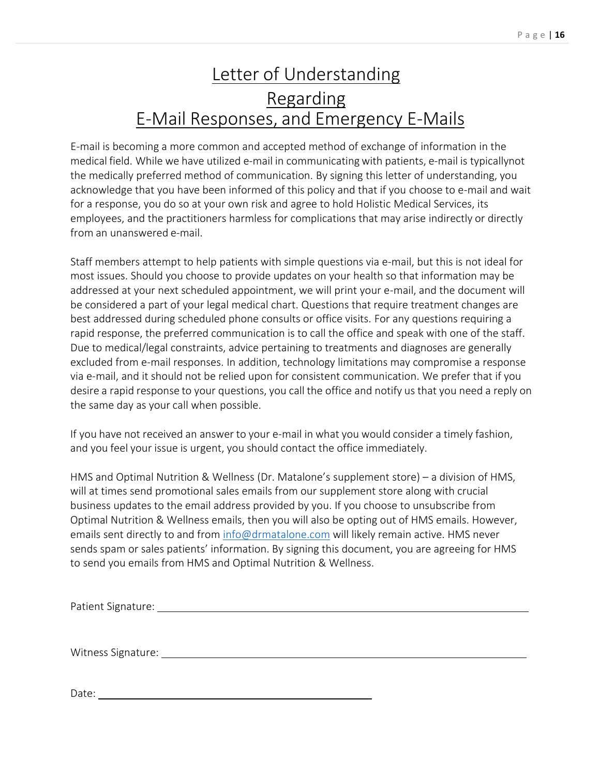# Letter of Understanding Regarding E-Mail Responses, and Emergency E-Mails

E-mail is becoming a more common and accepted method of exchange of information in the medical field. While we have utilized e-mail in communicating with patients, e-mail is typicallynot the medically preferred method of communication. By signing this letter of understanding, you acknowledge that you have been informed of this policy and that if you choose to e-mail and wait for a response, you do so at your own risk and agree to hold Holistic Medical Services, its employees, and the practitioners harmless for complications that may arise indirectly or directly from an unanswered e-mail.

Staff members attempt to help patients with simple questions via e-mail, but this is not ideal for most issues. Should you choose to provide updates on your health so that information may be addressed at your next scheduled appointment, we will print your e-mail, and the document will be considered a part of your legal medical chart. Questions that require treatment changes are best addressed during scheduled phone consults or office visits. For any questions requiring a rapid response, the preferred communication is to call the office and speak with one of the staff. Due to medical/legal constraints, advice pertaining to treatments and diagnoses are generally excluded from e-mail responses. In addition, technology limitations may compromise a response via e-mail, and it should not be relied upon for consistent communication. We prefer that if you desire a rapid response to your questions, you call the office and notify us that you need a reply on the same day as your call when possible.

If you have not received an answer to your e-mail in what you would consider a timely fashion, and you feel your issue is urgent, you should contact the office immediately.

HMS and Optimal Nutrition & Wellness (Dr. Matalone's supplement store) – a division of HMS, will at times send promotional sales emails from our supplement store along with crucial business updates to the email address provided by you. If you choose to unsubscribe from Optimal Nutrition & Wellness emails, then you will also be opting out of HMS emails. However, emails sent directly to and from [info@drmatalone.com](mailto:info@drmatalone.com) will likely remain active. HMS never sends spam or sales patients' information. By signing this document, you are agreeing for HMS to send you emails from HMS and Optimal Nutrition & Wellness.

Patient Signature:

Witness Signature:

Date: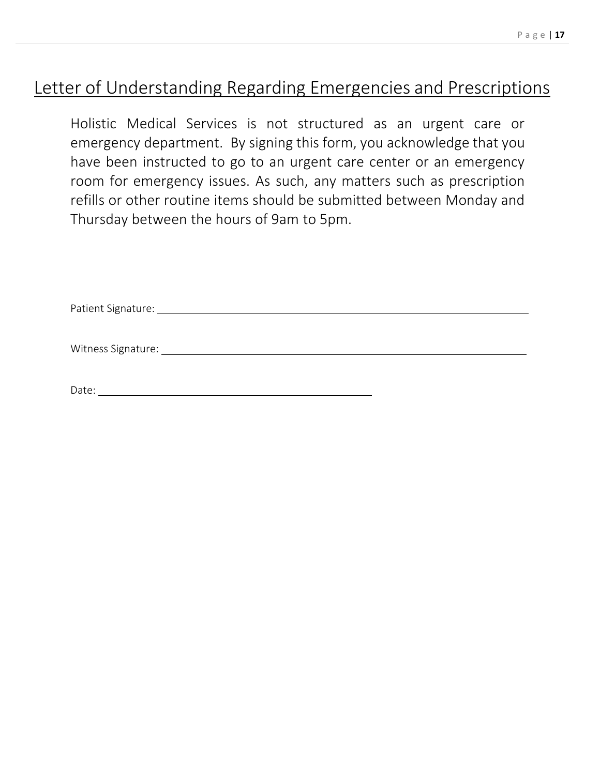# Letter of Understanding Regarding Emergencies and Prescriptions

Holistic Medical Services is not structured as an urgent care or emergency department. By signing this form, you acknowledge that you have been instructed to go to an urgent care center or an emergency room for emergency issues. As such, any matters such as prescription refills or other routine items should be submitted between Monday and Thursday between the hours of 9am to 5pm.

Patient Signature: University of the Contractor of the Contractor of the Contractor of the Contractor of the Contractor of the Contractor of the Contractor of the Contractor of the Contractor of the Contractor of the Contr

Witness Signature:

Date: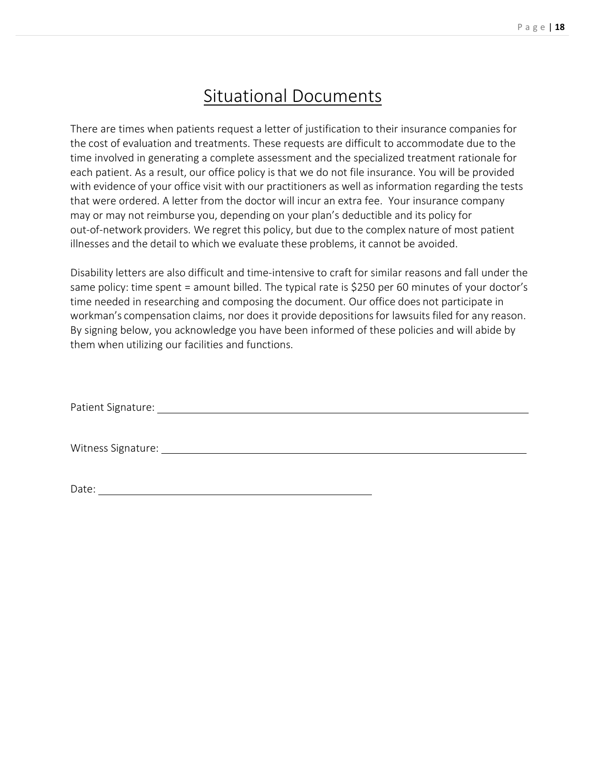# Situational Documents

There are times when patients request a letter of justification to their insurance companies for the cost of evaluation and treatments. These requests are difficult to accommodate due to the time involved in generating a complete assessment and the specialized treatment rationale for each patient. As a result, our office policy is that we do not file insurance. You will be provided with evidence of your office visit with our practitioners as well as information regarding the tests that were ordered. A letter from the doctor will incur an extra fee. Your insurance company may or may not reimburse you, depending on your plan's deductible and its policy for out-of-network providers. We regret this policy, but due to the complex nature of most patient illnesses and the detail to which we evaluate these problems, it cannot be avoided.

Disability letters are also difficult and time-intensive to craft for similar reasons and fall under the same policy: time spent = amount billed. The typical rate is \$250 per 60 minutes of your doctor's time needed in researching and composing the document. Our office does not participate in workman's compensation claims, nor does it provide depositionsfor lawsuits filed for any reason. By signing below, you acknowledge you have been informed of these policies and will abide by them when utilizing our facilities and functions.

Patient Signature:

Witness Signature: Management Controller and Controller and Controller and Controller and Controller and Controller and Controller and Controller and Controller and Controller and Controller and Controller and Controller a

Date: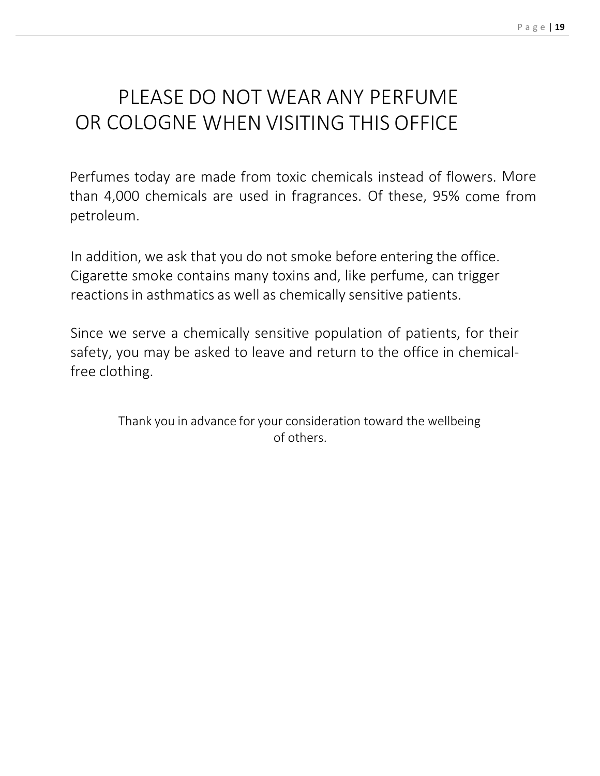# PLEASE DO NOT WEAR ANY PERFUME OR COLOGNE WHEN VISITING THIS OFFICE

Perfumes today are made from toxic chemicals instead of flowers. More than 4,000 chemicals are used in fragrances. Of these, 95% come from petroleum.

In addition, we ask that you do not smoke before entering the office. Cigarette smoke contains many toxins and, like perfume, can trigger reactions in asthmatics as well as chemically sensitive patients.

Since we serve a chemically sensitive population of patients, for their safety, you may be asked to leave and return to the office in chemical‐ free clothing.

> Thank you in advance for your consideration toward the wellbeing of others.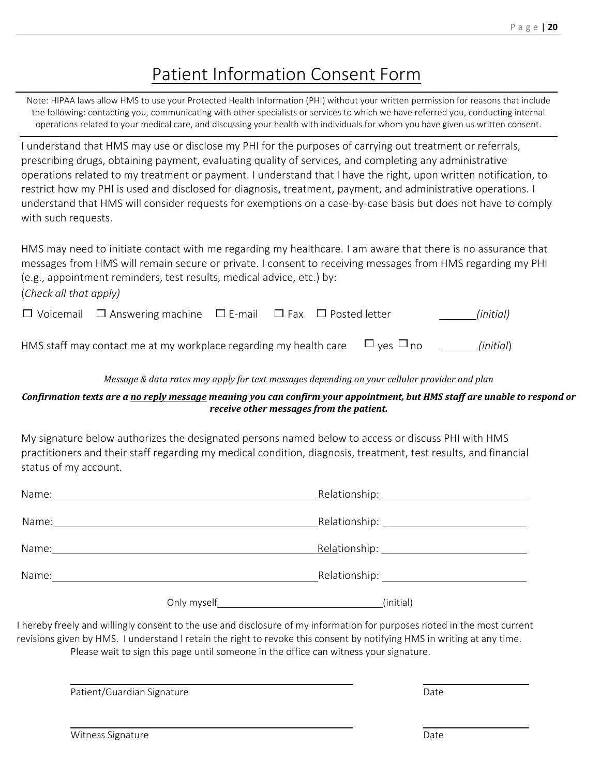# Patient Information Consent Form

Note: HIPAA laws allow HMS to use your Protected Health Information (PHI) without your written permission for reasons that include the following: contacting you, communicating with other specialists or services to which we have referred you, conducting internal operations related to your medical care, and discussing your health with individuals for whom you have given us written consent.

I understand that HMS may use or disclose my PHI for the purposes of carrying out treatment or referrals, prescribing drugs, obtaining payment, evaluating quality of services, and completing any administrative operations related to my treatment or payment. I understand that I have the right, upon written notification, to restrict how my PHI is used and disclosed for diagnosis, treatment, payment, and administrative operations. I understand that HMS will consider requests for exemptions on a case-by-case basis but does not have to comply with such requests.

HMS may need to initiate contact with me regarding my healthcare. I am aware that there is no assurance that messages from HMS will remain secure or private. I consent to receiving messages from HMS regarding my PHI (e.g., appointment reminders, test results, medical advice, etc.) by: (*Check all that apply)* Voicemail Answering machine E-mail Fax Posted letter *(initial)*

| HMS staff may contact me at my workplace regarding my health care $\Box$ yes $\Box$ no | (initial) |
|----------------------------------------------------------------------------------------|-----------|

#### *Message & data rates may apply for text messages depending on your cellular provider and plan*

#### *Confirmation texts are a no reply message meaning you can confirm your appointment, but HMS staff are unable to respond or receive other messages from the patient.*

My signature below authorizes the designated persons named below to access or discuss PHI with HMS practitioners and their staff regarding my medical condition, diagnosis, treatment, test results, and financial status of my account.

| Name: |             |           |  |
|-------|-------------|-----------|--|
| Name: |             |           |  |
| Name: |             |           |  |
|       | Only myself | (initial) |  |

I hereby freely and willingly consent to the use and disclosure of my information for purposes noted in the most current revisions given by HMS. I understand I retain the right to revoke this consent by notifying HMS in writing at any time. Please wait to sign this page until someone in the office can witness your signature.

Patient/Guardian Signature **Date of Australian Signature** Date of Australian Control of Australian Control of Australian Control of Australian Control of Australian Control of Australian Control of Australian Control of Au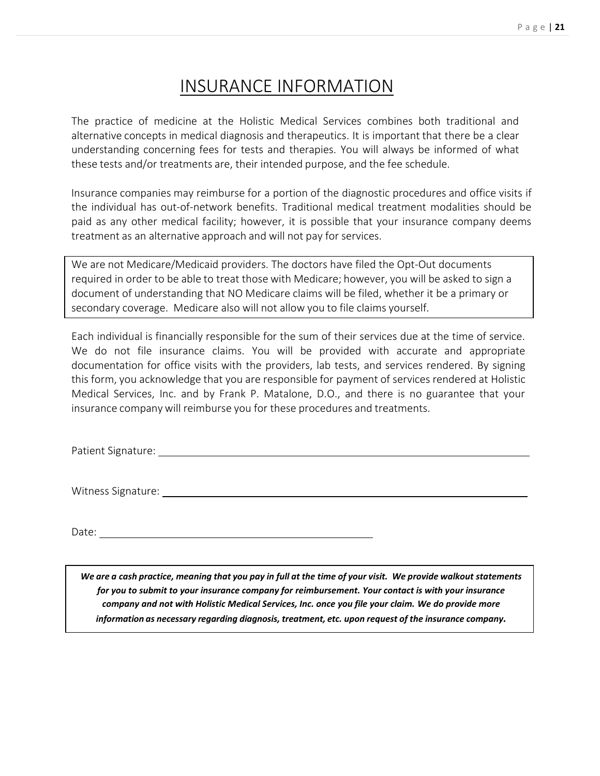# INSURANCE INFORMATION

The practice of medicine at the Holistic Medical Services combines both traditional and alternative concepts in medical diagnosis and therapeutics. It is important that there be a clear understanding concerning fees for tests and therapies. You will always be informed of what these tests and/or treatments are, their intended purpose, and the fee schedule.

Insurance companies may reimburse for a portion of the diagnostic procedures and office visits if the individual has out‐of‐network benefits. Traditional medical treatment modalities should be paid as any other medical facility; however, it is possible that your insurance company deems treatment as an alternative approach and will not pay for services.

We are not Medicare/Medicaid providers. The doctors have filed the Opt-Out documents required in order to be able to treat those with Medicare; however, you will be asked to sign a document of understanding that NO Medicare claims will be filed, whether it be a primary or secondary coverage. Medicare also will not allow you to file claims yourself.

Each individual is financially responsible for the sum of their services due at the time of service. We do not file insurance claims. You will be provided with accurate and appropriate documentation for office visits with the providers, lab tests, and services rendered. By signing this form, you acknowledge that you are responsible for payment of services rendered at Holistic Medical Services, Inc. and by Frank P. Matalone, D.O., and there is no guarantee that your insurance company will reimburse you for these procedures and treatments.

Patient Signature:

Witness Signature:

Date:

We are a cash practice, meaning that you pay in full at the time of your visit. We provide walkout statements *for you to submit to your insurance company for reimbursement. Your contact is with your insurance company and not with Holistic Medical Services, Inc. once you file your claim. We do provide more information as necessary regarding diagnosis, treatment, etc. upon request of the insurance company.*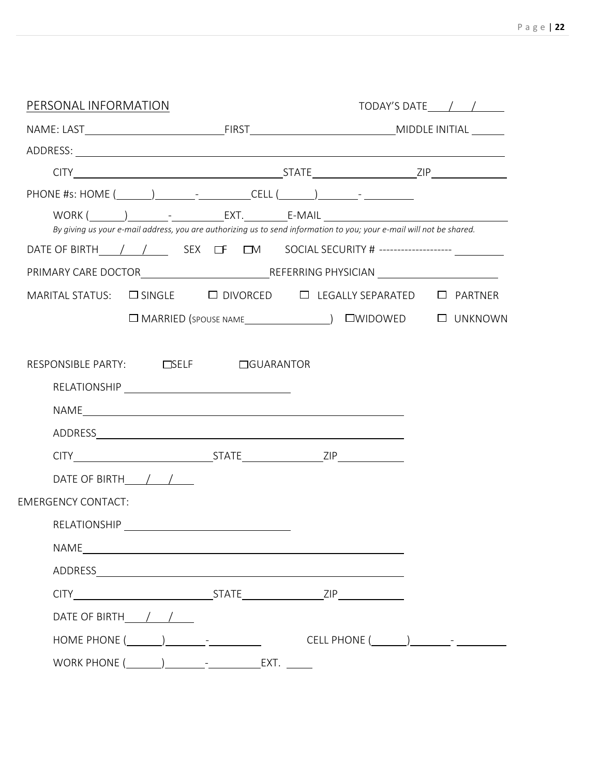| PERSONAL INFORMATION                                                                  | TODAY'S DATE $\left( \begin{array}{cc} \end{array} \right)$                                                          |  |  |  |
|---------------------------------------------------------------------------------------|----------------------------------------------------------------------------------------------------------------------|--|--|--|
|                                                                                       |                                                                                                                      |  |  |  |
|                                                                                       |                                                                                                                      |  |  |  |
|                                                                                       |                                                                                                                      |  |  |  |
| PHONE #s: HOME (_______)____________________CELL (_______)______________________      |                                                                                                                      |  |  |  |
|                                                                                       | By giving us your e-mail address, you are authorizing us to send information to you; your e-mail will not be shared. |  |  |  |
| DATE OF BIRTH       SEX LET LEM SOCIAL SECURITY # -------------------- LET            |                                                                                                                      |  |  |  |
|                                                                                       |                                                                                                                      |  |  |  |
| MARITAL STATUS: $\Box$ SINGLE $\Box$ DIVORCED $\Box$ LEGALLY SEPARATED $\Box$ PARTNER |                                                                                                                      |  |  |  |
|                                                                                       |                                                                                                                      |  |  |  |
|                                                                                       |                                                                                                                      |  |  |  |
|                                                                                       |                                                                                                                      |  |  |  |
|                                                                                       |                                                                                                                      |  |  |  |
| DATE OF BIRTH $/$ /                                                                   |                                                                                                                      |  |  |  |
| <b>EMERGENCY CONTACT:</b>                                                             |                                                                                                                      |  |  |  |
| RELATIONSHIP NAME AND THE RELATIONSHIP                                                |                                                                                                                      |  |  |  |
|                                                                                       |                                                                                                                      |  |  |  |
|                                                                                       |                                                                                                                      |  |  |  |
|                                                                                       |                                                                                                                      |  |  |  |
| DATE OF BIRTH_//                                                                      |                                                                                                                      |  |  |  |
| HOME PHONE $(\_\_\_\_\_\_\_$                                                          | CELL PHONE $(\_\_\_\_\_\_\_$                                                                                         |  |  |  |
|                                                                                       |                                                                                                                      |  |  |  |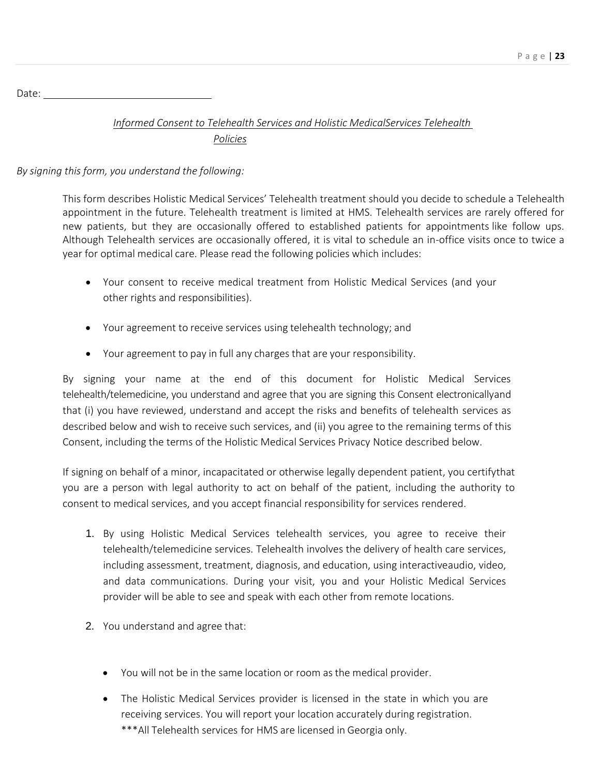Date:

# *Informed Consent to Telehealth Services and Holistic MedicalServices Telehealth Policies*

## *By signing this form, you understand the following:*

This form describes Holistic Medical Services' Telehealth treatment should you decide to schedule a Telehealth appointment in the future. Telehealth treatment is limited at HMS. Telehealth services are rarely offered for new patients, but they are occasionally offered to established patients for appointments like follow ups. Although Telehealth services are occasionally offered, it is vital to schedule an in-office visits once to twice a year for optimal medical care. Please read the following policies which includes:

- Your consent to receive medical treatment from Holistic Medical Services (and your other rights and responsibilities).
- Your agreement to receive services using telehealth technology; and
- Your agreement to pay in full any charges that are your responsibility.

By signing your name at the end of this document for Holistic Medical Services telehealth/telemedicine, you understand and agree that you are signing this Consent electronicallyand that (i) you have reviewed, understand and accept the risks and benefits of telehealth services as described below and wish to receive such services, and (ii) you agree to the remaining terms of this Consent, including the terms of the Holistic Medical Services Privacy Notice described below.

If signing on behalf of a minor, incapacitated or otherwise legally dependent patient, you certifythat you are a person with legal authority to act on behalf of the patient, including the authority to consent to medical services, and you accept financial responsibility for services rendered.

- 1. By using Holistic Medical Services telehealth services, you agree to receive their telehealth/telemedicine services. Telehealth involves the delivery of health care services, including assessment, treatment, diagnosis, and education, using interactiveaudio, video, and data communications. During your visit, you and your Holistic Medical Services provider will be able to see and speak with each other from remote locations.
- 2. You understand and agree that:
	- You will not be in the same location or room as the medical provider.
	- The Holistic Medical Services provider is licensed in the state in which you are receiving services. You will report your location accurately during registration. \*\*\*All Telehealth services for HMS are licensed in Georgia only.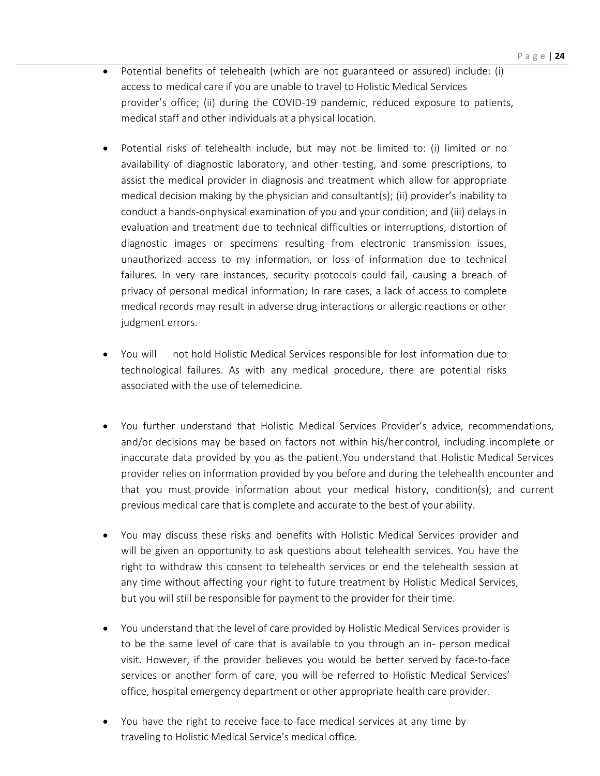- Potential benefits of telehealth (which are not guaranteed or assured) include: (i) access to medical care if you are unable to travel to Holistic Medical Services provider's office; (ii) during the COVID-19 pandemic, reduced exposure to patients, medical staff and other individuals at a physical location.
- Potential risks of telehealth include, but may not be limited to: (i) limited or no availability of diagnostic laboratory, and other testing, and some prescriptions, to assist the medical provider in diagnosis and treatment which allow for appropriate medical decision making by the physician and consultant(s); (ii) provider's inability to conduct a hands-onphysical examination of you and your condition; and (iii) delays in evaluation and treatment due to technical difficulties or interruptions, distortion of diagnostic images or specimens resulting from electronic transmission issues, unauthorized access to my information, or loss of information due to technical failures. In very rare instances, security protocols could fail, causing a breach of privacy of personal medical information; In rare cases, a lack of access to complete medical records may result in adverse drug interactions or allergic reactions or other judgment errors.
- You will not hold Holistic Medical Services responsible for lost information due to technological failures. As with any medical procedure, there are potential risks associated with the use of telemedicine.
- You further understand that Holistic Medical Services Provider's advice, recommendations, and/or decisions may be based on factors not within his/her control, including incomplete or inaccurate data provided by you as the patient.You understand that Holistic Medical Services provider relies on information provided by you before and during the telehealth encounter and that you must provide information about your medical history, condition(s), and current previous medical care that is complete and accurate to the best of your ability.
- You may discuss these risks and benefits with Holistic Medical Services provider and will be given an opportunity to ask questions about telehealth services. You have the right to withdraw this consent to telehealth services or end the telehealth session at any time without affecting your right to future treatment by Holistic Medical Services, but you will still be responsible for payment to the provider for their time.
- You understand that the level of care provided by Holistic Medical Services provider is to be the same level of care that is available to you through an in- person medical visit. However, if the provider believes you would be better served by face-to-face services or another form of care, you will be referred to Holistic Medical Services' office, hospital emergency department or other appropriate health care provider.
- You have the right to receive face-to-face medical services at any time by traveling to Holistic Medical Service's medical office.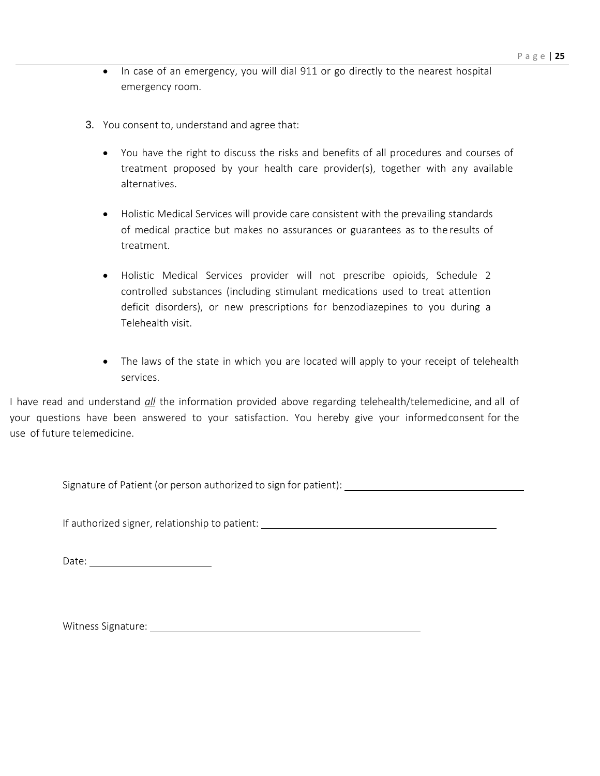- In case of an emergency, you will dial 911 or go directly to the nearest hospital emergency room.
- 3. You consent to, understand and agree that:
	- You have the right to discuss the risks and benefits of all procedures and courses of treatment proposed by your health care provider(s), together with any available alternatives.
	- Holistic Medical Services will provide care consistent with the prevailing standards of medical practice but makes no assurances or guarantees as to the results of treatment.
	- Holistic Medical Services provider will not prescribe opioids, Schedule 2 controlled substances (including stimulant medications used to treat attention deficit disorders), or new prescriptions for benzodiazepines to you during a Telehealth visit.
	- The laws of the state in which you are located will apply to your receipt of telehealth services.

I have read and understand *all* the information provided above regarding telehealth/telemedicine, and all of your questions have been answered to your satisfaction. You hereby give your informedconsent for the use of future telemedicine.

Signature of Patient (or person authorized to sign for patient):

If authorized signer, relationship to patient:

Date: when the contract of the contract of the contract of the contract of the contract of the contract of the contract of the contract of the contract of the contract of the contract of the contract of the contract of the

Witness Signature: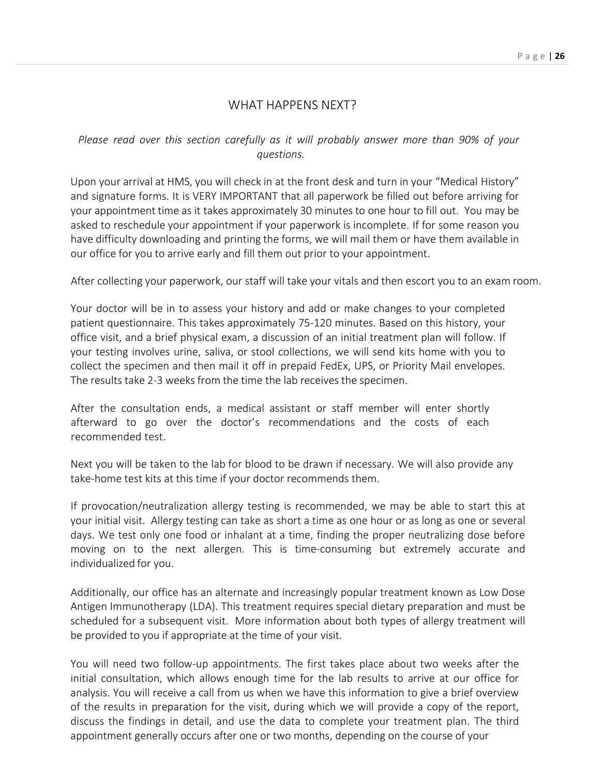## WHAT HAPPENS NEXT?

*Please read over this section carefully as it will probably answer more than 90% of your questions.*

Upon your arrival at HMS, you will check in at the front desk and turn in your "Medical History" and signature forms. It is VERY IMPORTANT that all paperwork be filled out before arriving for your appointment time as it takes approximately 30 minutes to one hour to fill out. You may be asked to reschedule your appointment if your paperwork is incomplete. If for some reason you have difficulty downloading and printing the forms, we will mail them or have them available in our office for you to arrive early and fill them out prior to your appointment.

After collecting your paperwork, our staff will take your vitals and then escort you to an exam room.

Your doctor will be in to assess your history and add or make changes to your completed patient questionnaire. This takes approximately 75-120 minutes. Based on this history, your office visit, and a brief physical exam, a discussion of an initial treatment plan will follow. If your testing involves urine, saliva, or stool collections, we will send kits home with you to collect the specimen and then mail it off in prepaid FedEx, UPS, or Priority Mail envelopes. The results take 2‐3 weeks from the time the lab receives the specimen.

After the consultation ends, a medical assistant or staff member will enter shortly afterward to go over the doctor's recommendations and the costs of each recommended test.

Next you will be taken to the lab for blood to be drawn if necessary. We will also provide any take-home test kits at this time if your doctor recommends them.

If provocation/neutralization allergy testing is recommended, we may be able to start this at your initial visit. Allergy testing can take as short a time as one hour or as long as one or several days. We test only one food or inhalant at a time, finding the proper neutralizing dose before moving on to the next allergen. This is time-consuming but extremely accurate and individualized for you.

Additionally, our office has an alternate and increasingly popular treatment known as Low Dose Antigen Immunotherapy (LDA). This treatment requires special dietary preparation and must be scheduled for a subsequent visit. More information about both types of allergy treatment will be provided to you if appropriate at the time of your visit.

You will need two follow-up appointments. The first takes place about two weeks after the initial consultation, which allows enough time for the lab results to arrive at our office for analysis. You will receive a call from us when we have this information to give a brief overview of the results in preparation for the visit, during which we will provide a copy of the report, discuss the findings in detail, and use the data to complete your treatment plan. The third appointment generally occurs after one or two months, depending on the course of your